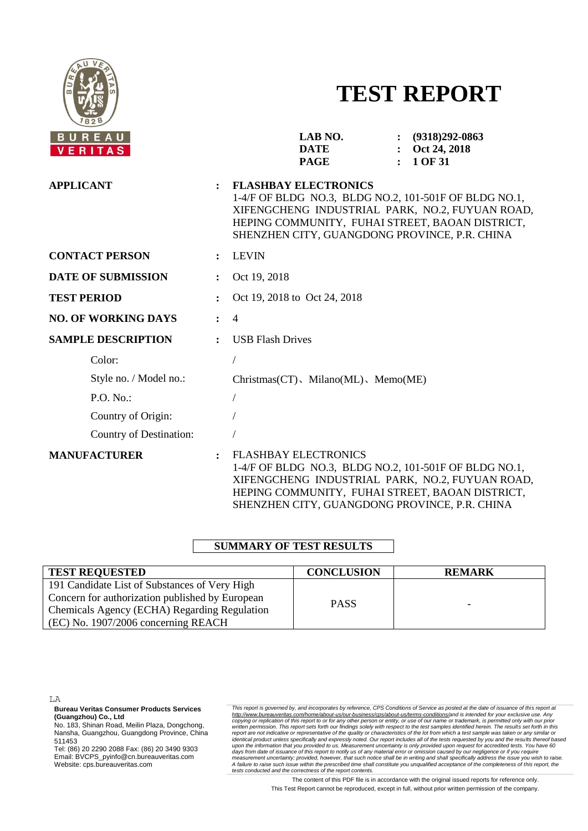

# **TEST REPORT**

| <b>BUREAU</b><br>VERITAS   |                | LAB NO.<br>$\colon$ (9318)292-0863<br><b>DATE</b><br>Oct 24, 2018<br>$\ddot{\cdot}$<br><b>PAGE</b><br>1 OF 31<br>$\bullet$                                                                                                                  |  |  |  |  |  |
|----------------------------|----------------|---------------------------------------------------------------------------------------------------------------------------------------------------------------------------------------------------------------------------------------------|--|--|--|--|--|
| <b>APPLICANT</b>           |                | <b>FLASHBAY ELECTRONICS</b><br>1-4/F OF BLDG NO.3, BLDG NO.2, 101-501F OF BLDG NO.1,<br>XIFENGCHENG INDUSTRIAL PARK, NO.2, FUYUAN ROAD,<br>HEPING COMMUNITY, FUHAI STREET, BAOAN DISTRICT,<br>SHENZHEN CITY, GUANGDONG PROVINCE, P.R. CHINA |  |  |  |  |  |
| <b>CONTACT PERSON</b>      |                | <b>LEVIN</b>                                                                                                                                                                                                                                |  |  |  |  |  |
| <b>DATE OF SUBMISSION</b>  |                | Oct 19, 2018                                                                                                                                                                                                                                |  |  |  |  |  |
| <b>TEST PERIOD</b>         |                | Oct 19, 2018 to Oct 24, 2018                                                                                                                                                                                                                |  |  |  |  |  |
| <b>NO. OF WORKING DAYS</b> | $\ddot{\cdot}$ | $\overline{4}$                                                                                                                                                                                                                              |  |  |  |  |  |
| <b>SAMPLE DESCRIPTION</b>  | $\bullet$      | <b>USB Flash Drives</b>                                                                                                                                                                                                                     |  |  |  |  |  |
| Color:                     |                |                                                                                                                                                                                                                                             |  |  |  |  |  |
| Style no. / Model no.:     |                | $Christmas (CT)$ , Milano(ML), Memo(ME)                                                                                                                                                                                                     |  |  |  |  |  |
| P.O. No.                   |                | $\sqrt{2}$                                                                                                                                                                                                                                  |  |  |  |  |  |
| Country of Origin:         |                |                                                                                                                                                                                                                                             |  |  |  |  |  |
| Country of Destination:    |                |                                                                                                                                                                                                                                             |  |  |  |  |  |
| <b>MANUFACTURER</b>        | $\ddot{\cdot}$ | <b>FLASHBAY ELECTRONICS</b><br>1-4/F OF BLDG NO.3, BLDG NO.2, 101-501F OF BLDG NO.1,<br>XIFENGCHENG INDUSTRIAL PARK, NO.2, FUYUAN ROAD,<br>HEPING COMMUNITY, FUHAI STREET, BAOAN DISTRICT,<br>SHENZHEN CITY, GUANGDONG PROVINCE, P.R. CHINA |  |  |  |  |  |

## **SUMMARY OF TEST RESULTS**

| <b>TEST REQUESTED</b>                                                                                                                                                                   | <b>CONCLUSION</b> | <b>REMARK</b> |
|-----------------------------------------------------------------------------------------------------------------------------------------------------------------------------------------|-------------------|---------------|
| 191 Candidate List of Substances of Very High<br>Concern for authorization published by European<br>Chemicals Agency (ECHA) Regarding Regulation<br>(EC) No. 1907/2006 concerning REACH | <b>PASS</b>       | -             |

LA

**Bureau Veritas Consumer Products Services (Guangzhou) Co., Ltd**

No. 183, Shinan Road, Meilin Plaza, Dongchong, Nansha, Guangzhou, Guangdong Province, China 511453

Tel: (86) 20 2290 2088 Fax: (86) 20 3490 9303 Email: BVCPS\_pyinfo@cn.bureauveritas.com Website: cps.bureauveritas.com

This report is governed by, and incorporates by reference, CPS Conditions of Service as posted at the date of issuance of this report at http://www.bureauveritas.com/home/about-us/our-business/cps/about-us/temm-conditions/

The content of this PDF file is in accordance with the original issued reports for reference only. This Test Report cannot be reproduced, except in full, without prior written permission of the company.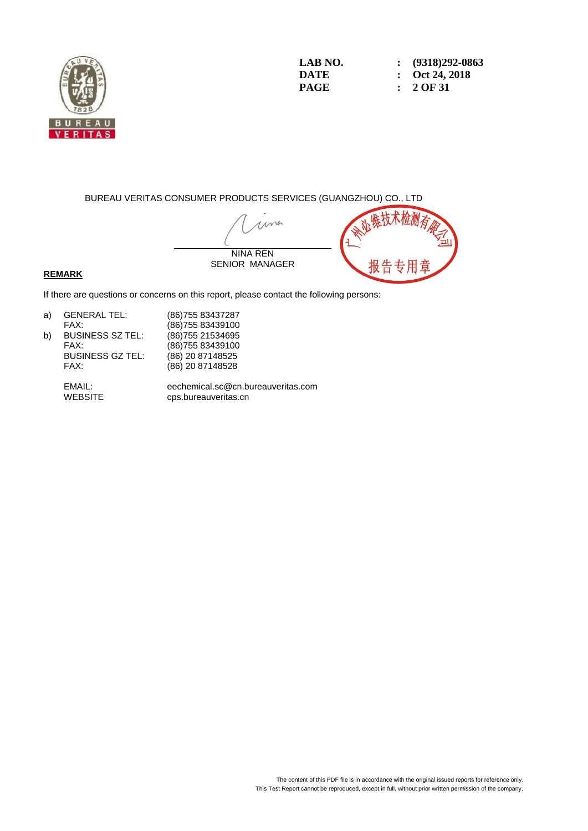

#### BUREAU VERITAS CONSUMER PRODUCTS SERVICES (GUANGZHOU) CO., LTD

una NINA REN SENIOR MANAGER

#### **REMARK**

If there are questions or concerns on this report, please contact the following persons:

| a) | <b>GENERAL TEL:</b>     | (86)75 |
|----|-------------------------|--------|
|    | FAX:                    | (86)75 |
| b) | <b>BUSINESS SZ TEL:</b> | (86)75 |
|    | <b>FAV.</b>             | (0.057 |

FAX: (86)755 83439100<br>BUSINESS GZ TEL: (86) 20 87148525 BUSINESS GZ TEL:<br>FAX:

55 83437287 55 83439100 55 21534695  $(86)$  20 87148528

EMAIL: eechemical.sc@cn.bureauveritas.com cps.bureauveritas.cn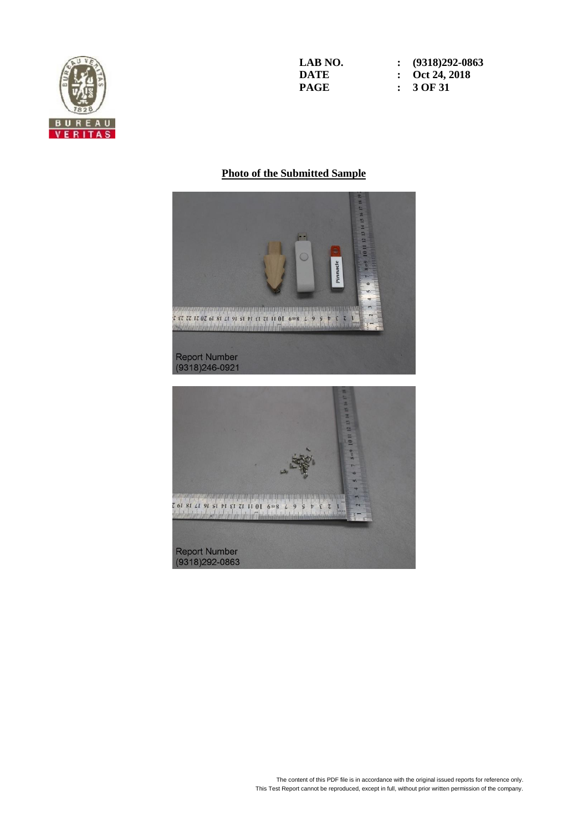

**LAB NO. : (9318)292-0863 DATE : Oct 24, 2018**<br>**PAGE : 3 OF 31 PAGE : 3 OF 31**

## **Photo of the Submitted Sample**



Report Number<br>(9318)292-0863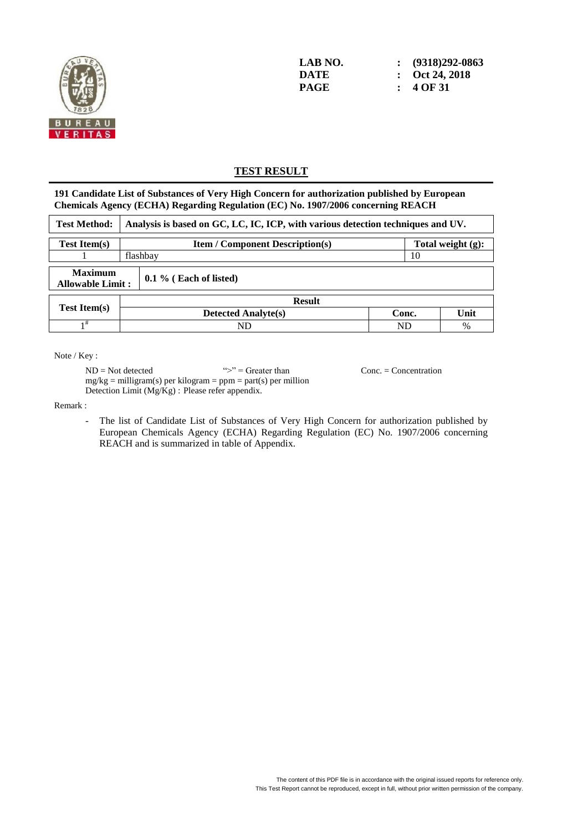

**LAB NO. : (9318)292-0863 DATE : Oct 24, 2018 PAGE : 4 OF 31**

# **TEST RESULT**

**191 Candidate List of Substances of Very High Concern for authorization published by European Chemicals Agency (ECHA) Regarding Regulation (EC) No. 1907/2006 concerning REACH**

| <b>Test Method:</b>                       | Analysis is based on GC, LC, IC, ICP, with various detection techniques and UV. |                                                                |       |      |  |  |  |
|-------------------------------------------|---------------------------------------------------------------------------------|----------------------------------------------------------------|-------|------|--|--|--|
| <b>Test Item(s)</b>                       |                                                                                 | Total weight $(g)$ :<br><b>Item / Component Description(s)</b> |       |      |  |  |  |
|                                           |                                                                                 | flashbay<br>10                                                 |       |      |  |  |  |
| <b>Maximum</b><br><b>Allowable Limit:</b> |                                                                                 | $0.1\%$ (Each of listed)                                       |       |      |  |  |  |
|                                           |                                                                                 | <b>Result</b>                                                  |       |      |  |  |  |
| <b>Test Item(s)</b>                       |                                                                                 | <b>Detected Analyte(s)</b>                                     | Conc. | Unit |  |  |  |
| 1#                                        |                                                                                 | <b>ND</b><br>ND<br>%                                           |       |      |  |  |  |

Note / Key :

 $ND = Not detected$  ">" = Greater than Conc. = Concentration  $mg/kg =$  milligram(s) per kilogram = ppm = part(s) per million Detection Limit (Mg/Kg) : Please refer appendix.

Remark :

The list of Candidate List of Substances of Very High Concern for authorization published by European Chemicals Agency (ECHA) Regarding Regulation (EC) No. 1907/2006 concerning REACH and is summarized in table of Appendix.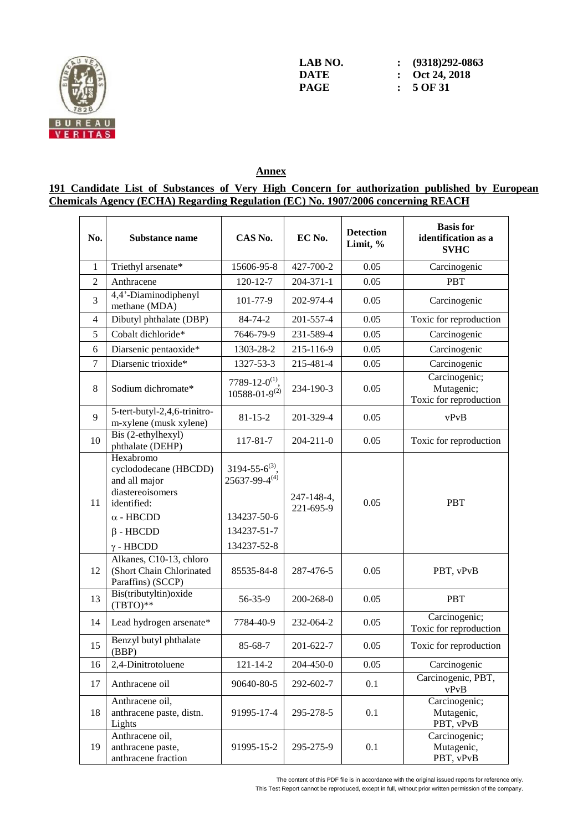

**LAB NO. : (9318)292-0863 DATE : Oct 24, 2018**<br>**PAGE :**  $5$  OF 31 **PAGE : 5 OF 31**

## **Annex**

## **191 Candidate List of Substances of Very High Concern for authorization published by European Chemicals Agency (ECHA) Regarding Regulation (EC) No. 1907/2006 concerning REACH**

| No.            | <b>Substance name</b>                                                                                                                             | CAS No.                                                                                      | EC No.                  | <b>Detection</b><br>Limit, % | <b>Basis</b> for<br>identification as a<br><b>SVHC</b> |
|----------------|---------------------------------------------------------------------------------------------------------------------------------------------------|----------------------------------------------------------------------------------------------|-------------------------|------------------------------|--------------------------------------------------------|
| $\mathbf{1}$   | Triethyl arsenate*                                                                                                                                | 15606-95-8                                                                                   | 427-700-2               | 0.05                         | Carcinogenic                                           |
| $\overline{2}$ | Anthracene                                                                                                                                        | $120 - 12 - 7$                                                                               | 204-371-1               | 0.05                         | <b>PBT</b>                                             |
| 3              | 4,4'-Diaminodiphenyl<br>methane (MDA)                                                                                                             | 101-77-9                                                                                     | 202-974-4               | 0.05                         | Carcinogenic                                           |
| $\overline{4}$ | Dibutyl phthalate (DBP)                                                                                                                           | 84-74-2                                                                                      | 201-557-4               | 0.05                         | Toxic for reproduction                                 |
| 5              | Cobalt dichloride*                                                                                                                                | 7646-79-9                                                                                    | 231-589-4               | 0.05                         | Carcinogenic                                           |
| 6              | Diarsenic pentaoxide*                                                                                                                             | 1303-28-2                                                                                    | 215-116-9               | 0.05                         | Carcinogenic                                           |
| 7              | Diarsenic trioxide*                                                                                                                               | 1327-53-3                                                                                    | 215-481-4               | 0.05                         | Carcinogenic                                           |
| 8              | Sodium dichromate*                                                                                                                                | 7789-12-0 <sup>(1)</sup> ,<br>$10588 - 01 - 9^{(2)}$                                         | 234-190-3               | 0.05                         | Carcinogenic;<br>Mutagenic;<br>Toxic for reproduction  |
| 9              | 5-tert-butyl-2,4,6-trinitro-<br>m-xylene (musk xylene)                                                                                            | $81 - 15 - 2$                                                                                | 201-329-4               | 0.05                         | vPvB                                                   |
| 10             | Bis (2-ethylhexyl)<br>phthalate (DEHP)                                                                                                            | 117-81-7                                                                                     | 204-211-0               | 0.05                         | Toxic for reproduction                                 |
| 11             | Hexabromo<br>cyclododecane (HBCDD)<br>and all major<br>diastereoisomers<br>identified:<br>$\alpha$ - HBCDD<br>$\beta$ - HBCDD<br>$\gamma$ - HBCDD | $3194 - 55 - 6^{(3)}$<br>$25637 - 99 - 4^{(4)}$<br>134237-50-6<br>134237-51-7<br>134237-52-8 | 247-148-4,<br>221-695-9 | 0.05                         | <b>PBT</b>                                             |
| 12             | Alkanes, C10-13, chloro<br>(Short Chain Chlorinated<br>Paraffins) (SCCP)                                                                          | 85535-84-8                                                                                   | 287-476-5               | 0.05                         | PBT, vPvB                                              |
| 13             | Bis(tributyltin) oxide<br>$(TBTO)**$                                                                                                              | 56-35-9                                                                                      | 200-268-0               | 0.05                         | <b>PBT</b>                                             |
| 14             | Lead hydrogen arsenate*                                                                                                                           | 7784-40-9                                                                                    | 232-064-2               | 0.05                         | Carcinogenic;<br>Toxic for reproduction                |
| 15             | Benzyl butyl phthalate<br>(BBP)                                                                                                                   | 85-68-7                                                                                      | 201-622-7               | 0.05                         | Toxic for reproduction                                 |
| 16             | 2,4-Dinitrotoluene                                                                                                                                | $121 - 14 - 2$                                                                               | 204-450-0               | 0.05                         | Carcinogenic                                           |
| 17             | Anthracene oil                                                                                                                                    | 90640-80-5                                                                                   | 292-602-7               | 0.1                          | Carcinogenic, PBT,<br>vPvB                             |
| 18             | Anthracene oil,<br>anthracene paste, distn.<br>Lights                                                                                             | 91995-17-4                                                                                   | 295-278-5               | 0.1                          | Carcinogenic;<br>Mutagenic,<br>PBT, vPvB               |
| 19             | Anthracene oil,<br>anthracene paste,<br>anthracene fraction                                                                                       | 91995-15-2                                                                                   | 295-275-9               | 0.1                          | Carcinogenic;<br>Mutagenic,<br>PBT, vPvB               |

The content of this PDF file is in accordance with the original issued reports for reference only.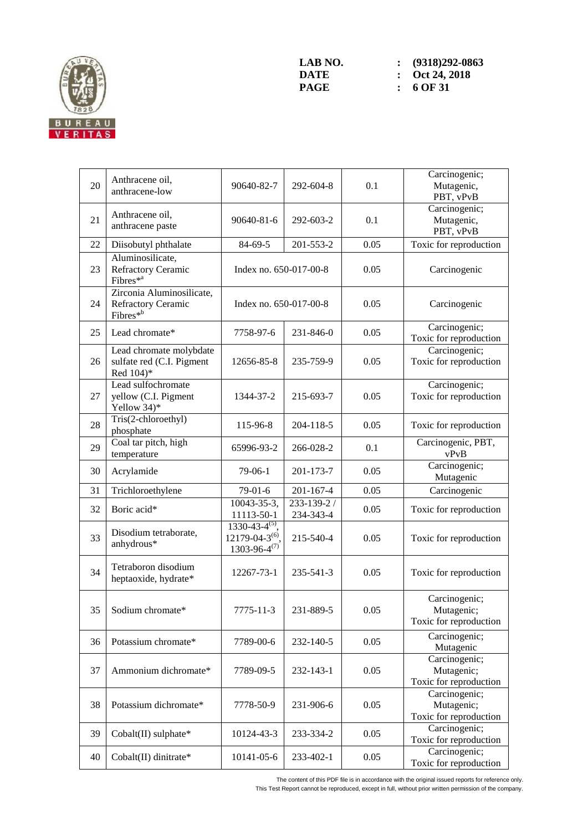

| 20 | Anthracene oil,<br>anthracene-low                                       | 90640-82-7                                                             | 292-604-8                | 0.1  | Carcinogenic;<br>Mutagenic,<br>PBT, vPvB              |
|----|-------------------------------------------------------------------------|------------------------------------------------------------------------|--------------------------|------|-------------------------------------------------------|
| 21 | Anthracene oil,<br>anthracene paste                                     | 90640-81-6                                                             | 292-603-2                | 0.1  | Carcinogenic;<br>Mutagenic,<br>PBT, vPvB              |
| 22 | Diisobutyl phthalate                                                    | 84-69-5                                                                | 201-553-2                | 0.05 | Toxic for reproduction                                |
| 23 | Aluminosilicate,<br>Refractory Ceramic<br>Fibres <sup>*a</sup>          | Index no. 650-017-00-8                                                 |                          | 0.05 | Carcinogenic                                          |
| 24 | Zirconia Aluminosilicate,<br>Refractory Ceramic<br>Fibres <sup>*b</sup> | Index no. 650-017-00-8                                                 |                          | 0.05 | Carcinogenic                                          |
| 25 | Lead chromate*                                                          | 7758-97-6                                                              | 231-846-0                | 0.05 | Carcinogenic;<br>Toxic for reproduction               |
| 26 | Lead chromate molybdate<br>sulfate red (C.I. Pigment<br>Red 104)*       | 12656-85-8                                                             | 235-759-9                | 0.05 | Carcinogenic;<br>Toxic for reproduction               |
| 27 | Lead sulfochromate<br>yellow (C.I. Pigment<br>Yellow 34)*               | 1344-37-2                                                              | 215-693-7                | 0.05 | Carcinogenic;<br>Toxic for reproduction               |
| 28 | Tris(2-chloroethyl)<br>phosphate                                        | 115-96-8                                                               | 204-118-5                | 0.05 | Toxic for reproduction                                |
| 29 | Coal tar pitch, high<br>temperature                                     | 65996-93-2                                                             | 266-028-2                | 0.1  | Carcinogenic, PBT,<br>vPvB                            |
| 30 | Acrylamide                                                              | 79-06-1                                                                | 201-173-7                | 0.05 | Carcinogenic;<br>Mutagenic                            |
| 31 | Trichloroethylene                                                       | 79-01-6                                                                | 201-167-4                | 0.05 | Carcinogenic                                          |
| 32 | Boric acid*                                                             | 10043-35-3,<br>11113-50-1                                              | 233-139-2 /<br>234-343-4 | 0.05 | Toxic for reproduction                                |
| 33 | Disodium tetraborate,<br>anhydrous*                                     | $1330-43-4^{(5)}$ ,<br>$12179 - 04 - 3^{(6)}$<br>$1303 - 96 - 4^{(7)}$ | 215-540-4                | 0.05 | Toxic for reproduction                                |
| 34 | Tetraboron disodium<br>heptaoxide, hydrate*                             | 12267-73-1                                                             | 235-541-3                | 0.05 | Toxic for reproduction                                |
| 35 | Sodium chromate*                                                        | 7775-11-3                                                              | 231-889-5                | 0.05 | Carcinogenic;<br>Mutagenic;<br>Toxic for reproduction |
| 36 | Potassium chromate*                                                     | 7789-00-6                                                              | 232-140-5                | 0.05 | Carcinogenic;<br>Mutagenic                            |
| 37 | Ammonium dichromate*                                                    | 7789-09-5                                                              | 232-143-1                | 0.05 | Carcinogenic;<br>Mutagenic;<br>Toxic for reproduction |
| 38 | Potassium dichromate*                                                   | 7778-50-9                                                              | 231-906-6                | 0.05 | Carcinogenic;<br>Mutagenic;<br>Toxic for reproduction |
| 39 | Cobalt(II) sulphate*                                                    | 10124-43-3                                                             | 233-334-2                | 0.05 | Carcinogenic;<br>Toxic for reproduction               |
| 40 | Cobalt(II) dinitrate*                                                   | 10141-05-6                                                             | 233-402-1                | 0.05 | Carcinogenic;<br>Toxic for reproduction               |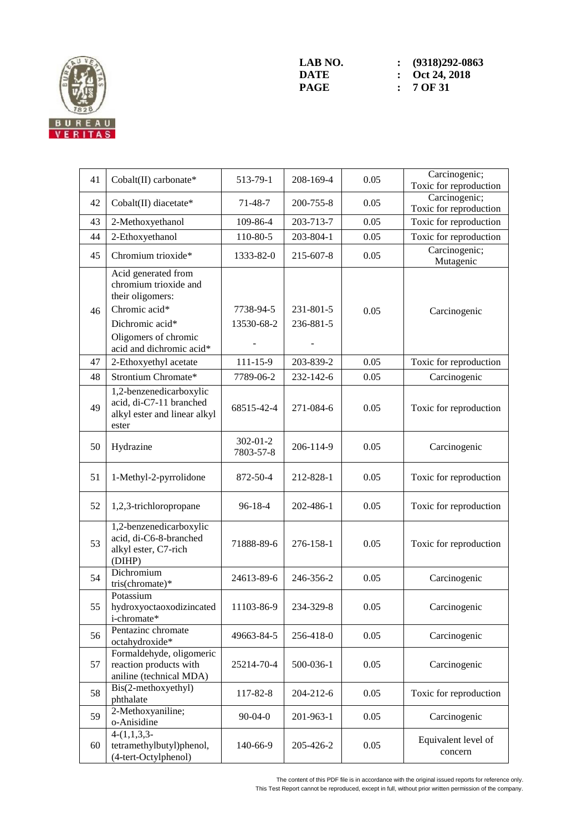

| 41 | Cobalt(II) carbonate*                                                                                                        | 513-79-1                    | 208-169-4              | 0.05 | Carcinogenic;<br>Toxic for reproduction |
|----|------------------------------------------------------------------------------------------------------------------------------|-----------------------------|------------------------|------|-----------------------------------------|
| 42 | Cobalt(II) diacetate*                                                                                                        | $71 - 48 - 7$               | 200-755-8              | 0.05 | Carcinogenic;<br>Toxic for reproduction |
| 43 | 2-Methoxyethanol                                                                                                             | 109-86-4                    | 203-713-7              | 0.05 | Toxic for reproduction                  |
| 44 | 2-Ethoxyethanol                                                                                                              | 110-80-5                    | 203-804-1              | 0.05 | Toxic for reproduction                  |
| 45 | Chromium trioxide*                                                                                                           | 1333-82-0                   | 215-607-8              | 0.05 | Carcinogenic;<br>Mutagenic              |
| 46 | Acid generated from<br>chromium trioxide and<br>their oligomers:<br>Chromic acid*<br>Dichromic acid*<br>Oligomers of chromic | 7738-94-5<br>13530-68-2     | 231-801-5<br>236-881-5 | 0.05 | Carcinogenic                            |
|    | acid and dichromic acid*                                                                                                     | $111 - 15 - 9$              |                        | 0.05 |                                         |
| 47 | 2-Ethoxyethyl acetate                                                                                                        |                             | 203-839-2              |      | Toxic for reproduction                  |
| 48 | Strontium Chromate*<br>1,2-benzenedicarboxylic                                                                               | 7789-06-2                   | 232-142-6              | 0.05 | Carcinogenic                            |
| 49 | acid, di-C7-11 branched<br>alkyl ester and linear alkyl<br>ester                                                             | 68515-42-4                  | 271-084-6              | 0.05 | Toxic for reproduction                  |
| 50 | Hydrazine                                                                                                                    | $302 - 01 - 2$<br>7803-57-8 | 206-114-9              | 0.05 | Carcinogenic                            |
| 51 | 1-Methyl-2-pyrrolidone                                                                                                       | 872-50-4                    | 212-828-1              | 0.05 | Toxic for reproduction                  |
| 52 | 1,2,3-trichloropropane                                                                                                       | $96 - 18 - 4$               | 202-486-1              | 0.05 | Toxic for reproduction                  |
| 53 | 1,2-benzenedicarboxylic<br>acid, di-C6-8-branched<br>alkyl ester, C7-rich<br>(DIHP)                                          | 71888-89-6                  | 276-158-1              | 0.05 | Toxic for reproduction                  |
| 54 | Dichromium<br>tris(chromate)*                                                                                                | 24613-89-6                  | 246-356-2              | 0.05 | Carcinogenic                            |
| 55 | Potassium<br>hydroxyoctaoxodizincated<br>i-chromate*                                                                         | 11103-86-9                  | 234-329-8              | 0.05 | Carcinogenic                            |
| 56 | Pentazinc chromate<br>octahydroxide*                                                                                         | 49663-84-5                  | 256-418-0              | 0.05 | Carcinogenic                            |
| 57 | Formaldehyde, oligomeric<br>reaction products with<br>aniline (technical MDA)                                                | 25214-70-4                  | 500-036-1              | 0.05 | Carcinogenic                            |
| 58 | Bis(2-methoxyethyl)<br>phthalate                                                                                             | 117-82-8                    | 204-212-6              | 0.05 | Toxic for reproduction                  |
| 59 | 2-Methoxyaniline;<br>o-Anisidine                                                                                             | $90 - 04 - 0$               | 201-963-1              | 0.05 | Carcinogenic                            |
| 60 | $4-(1,1,3,3-$<br>tetramethylbutyl)phenol,<br>(4-tert-Octylphenol)                                                            | 140-66-9                    | 205-426-2              | 0.05 | Equivalent level of<br>concern          |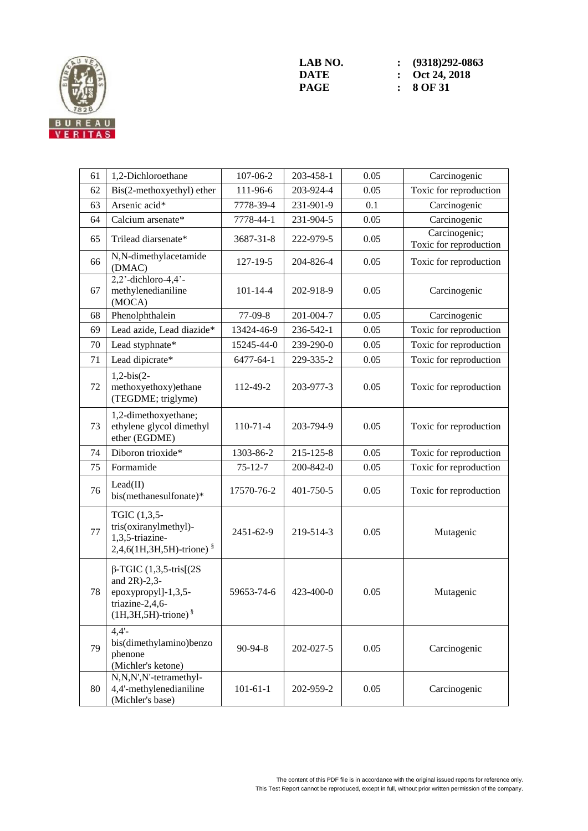

| 61 | 1,2-Dichloroethane                                                                                                         | 107-06-2       | 203-458-1 | 0.05 | Carcinogenic                            |
|----|----------------------------------------------------------------------------------------------------------------------------|----------------|-----------|------|-----------------------------------------|
| 62 | Bis(2-methoxyethyl) ether                                                                                                  | 111-96-6       | 203-924-4 | 0.05 | Toxic for reproduction                  |
| 63 | Arsenic acid*                                                                                                              | 7778-39-4      | 231-901-9 | 0.1  | Carcinogenic                            |
| 64 | Calcium arsenate*                                                                                                          | 7778-44-1      | 231-904-5 | 0.05 | Carcinogenic                            |
| 65 | Trilead diarsenate*                                                                                                        | 3687-31-8      | 222-979-5 | 0.05 | Carcinogenic;<br>Toxic for reproduction |
| 66 | N,N-dimethylacetamide<br>(DMAC)                                                                                            | $127 - 19 - 5$ | 204-826-4 | 0.05 | Toxic for reproduction                  |
| 67 | $2,2$ <sup>2</sup> -dichloro-4,4 <sup>2</sup> -<br>methylenedianiline<br>(MOCA)                                            | $101 - 14 - 4$ | 202-918-9 | 0.05 | Carcinogenic                            |
| 68 | Phenolphthalein                                                                                                            | 77-09-8        | 201-004-7 | 0.05 | Carcinogenic                            |
| 69 | Lead azide, Lead diazide*                                                                                                  | 13424-46-9     | 236-542-1 | 0.05 | Toxic for reproduction                  |
| 70 | Lead styphnate*                                                                                                            | 15245-44-0     | 239-290-0 | 0.05 | Toxic for reproduction                  |
| 71 | Lead dipicrate*                                                                                                            | 6477-64-1      | 229-335-2 | 0.05 | Toxic for reproduction                  |
| 72 | $1,2-bis(2-$<br>methoxyethoxy)ethane<br>(TEGDME; triglyme)                                                                 | 112-49-2       | 203-977-3 | 0.05 | Toxic for reproduction                  |
| 73 | 1,2-dimethoxyethane;<br>ethylene glycol dimethyl<br>ether (EGDME)                                                          | $110-71-4$     | 203-794-9 | 0.05 | Toxic for reproduction                  |
| 74 | Diboron trioxide*                                                                                                          | 1303-86-2      | 215-125-8 | 0.05 | Toxic for reproduction                  |
| 75 | Formamide                                                                                                                  | $75 - 12 - 7$  | 200-842-0 | 0.05 | Toxic for reproduction                  |
| 76 | Lead(II)<br>bis(methanesulfonate)*                                                                                         | 17570-76-2     | 401-750-5 | 0.05 | Toxic for reproduction                  |
| 77 | TGIC (1,3,5-<br>tris(oxiranylmethyl)-<br>1,3,5-triazine-<br>2,4,6(1H,3H,5H)-trione) §                                      | 2451-62-9      | 219-514-3 | 0.05 | Mutagenic                               |
| 78 | $\beta$ -TGIC (1,3,5-tris[(2S)<br>and $2R$ )-2,3-<br>epoxypropyl]-1,3,5-<br>triazine-2,4,6-<br>$(1H, 3H, 5H)$ -trione) $§$ | 59653-74-6     | 423-400-0 | 0.05 | Mutagenic                               |
| 79 | $4.4'$ -<br>bis(dimethylamino)benzo<br>phenone<br>(Michler's ketone)                                                       | 90-94-8        | 202-027-5 | 0.05 | Carcinogenic                            |
| 80 | N,N,N',N'-tetramethyl-<br>4,4'-methylenedianiline<br>(Michler's base)                                                      | $101 - 61 - 1$ | 202-959-2 | 0.05 | Carcinogenic                            |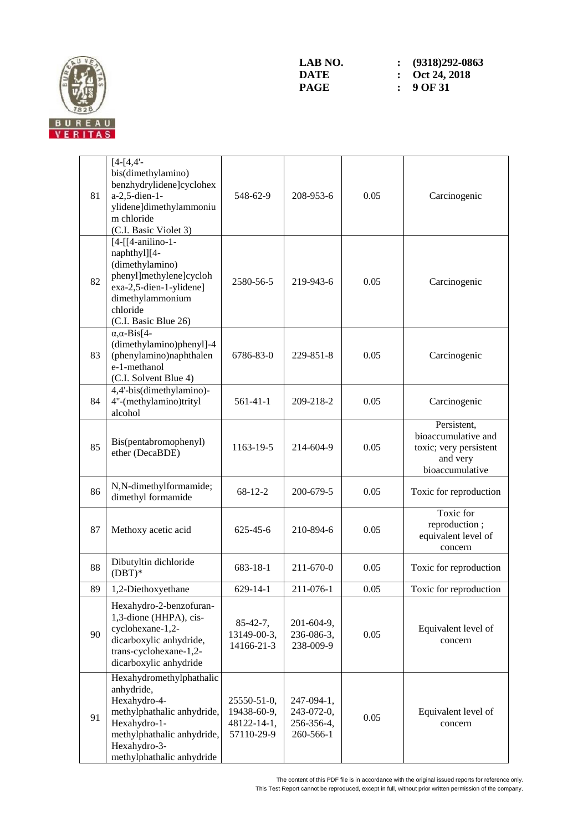

| 81 | $[4-[4,4]$ -<br>bis(dimethylamino)<br>benzhydrylidene]cyclohex<br>a-2,5-dien-1-<br>ylidene]dimethylammoniu<br>m chloride<br>(C.I. Basic Violet 3)                               | 548-62-9                                                | 208-953-6                                           | 0.05 | Carcinogenic                                                                                |
|----|---------------------------------------------------------------------------------------------------------------------------------------------------------------------------------|---------------------------------------------------------|-----------------------------------------------------|------|---------------------------------------------------------------------------------------------|
| 82 | $[4-[14-anilino-1-$<br>naphthyl][4-<br>(dimethylamino)<br>phenyl]methylene]cycloh<br>exa-2,5-dien-1-ylidene]<br>dimethylammonium<br>chloride<br>(C.I. Basic Blue 26)            | 2580-56-5                                               | 219-943-6                                           | 0.05 | Carcinogenic                                                                                |
| 83 | $\alpha$ , $\alpha$ -Bis[4-<br>(dimethylamino)phenyl]-4<br>(phenylamino)naphthalen<br>e-1-methanol<br>(C.I. Solvent Blue 4)                                                     | 6786-83-0                                               | 229-851-8                                           | 0.05 | Carcinogenic                                                                                |
| 84 | 4,4'-bis(dimethylamino)-<br>4"-(methylamino)trityl<br>alcohol                                                                                                                   | $561 - 41 - 1$                                          | 209-218-2                                           | 0.05 | Carcinogenic                                                                                |
| 85 | Bis(pentabromophenyl)<br>ether (DecaBDE)                                                                                                                                        | 1163-19-5                                               | 214-604-9                                           | 0.05 | Persistent,<br>bioaccumulative and<br>toxic; very persistent<br>and very<br>bioaccumulative |
| 86 | N,N-dimethylformamide;<br>dimethyl formamide                                                                                                                                    | 68-12-2                                                 | 200-679-5                                           | 0.05 | Toxic for reproduction                                                                      |
| 87 | Methoxy acetic acid                                                                                                                                                             | 625-45-6                                                | 210-894-6                                           | 0.05 | Toxic for<br>reproduction;<br>equivalent level of<br>concern                                |
| 88 | Dibutyltin dichloride<br>$(DBT)*$                                                                                                                                               | 683-18-1                                                | 211-670-0                                           | 0.05 | Toxic for reproduction                                                                      |
| 89 | 1,2-Diethoxyethane                                                                                                                                                              | 629-14-1                                                | 211-076-1                                           | 0.05 | Toxic for reproduction                                                                      |
| 90 | Hexahydro-2-benzofuran-<br>1,3-dione (HHPA), cis-<br>cyclohexane-1,2-<br>dicarboxylic anhydride,<br>trans-cyclohexane-1,2-<br>dicarboxylic anhydride                            | $85-42-7,$<br>13149-00-3,<br>14166-21-3                 | $201 - 604 - 9$ ,<br>236-086-3,<br>238-009-9        | 0.05 | Equivalent level of<br>concern                                                              |
| 91 | Hexahydromethylphathalic<br>anhydride,<br>Hexahydro-4-<br>methylphathalic anhydride,<br>Hexahydro-1-<br>methylphathalic anhydride,<br>Hexahydro-3-<br>methylphathalic anhydride | 25550-51-0,<br>19438-60-9,<br>48122-14-1,<br>57110-29-9 | 247-094-1,<br>243-072-0,<br>256-356-4,<br>260-566-1 | 0.05 | Equivalent level of<br>concern                                                              |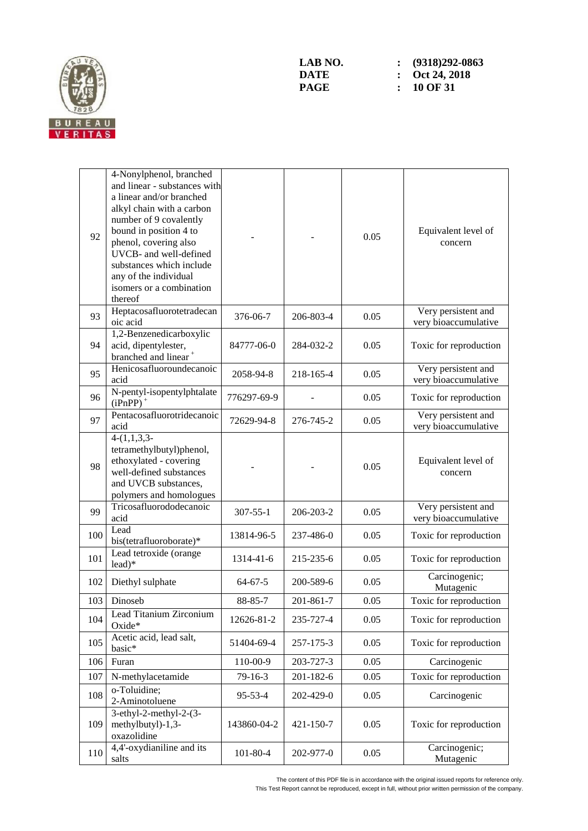

| 92  | 4-Nonylphenol, branched<br>and linear - substances with<br>a linear and/or branched<br>alkyl chain with a carbon<br>number of 9 covalently<br>bound in position 4 to<br>phenol, covering also<br>UVCB- and well-defined<br>substances which include<br>any of the individual<br>isomers or a combination<br>thereof |                |           | 0.05 | Equivalent level of<br>concern              |
|-----|---------------------------------------------------------------------------------------------------------------------------------------------------------------------------------------------------------------------------------------------------------------------------------------------------------------------|----------------|-----------|------|---------------------------------------------|
| 93  | Heptacosafluorotetradecan<br>oic acid                                                                                                                                                                                                                                                                               | 376-06-7       | 206-803-4 | 0.05 | Very persistent and<br>very bioaccumulative |
| 94  | 1,2-Benzenedicarboxylic<br>acid, dipentylester,<br>branched and linear <sup>+</sup>                                                                                                                                                                                                                                 | 84777-06-0     | 284-032-2 | 0.05 | Toxic for reproduction                      |
| 95  | Henicosafluoroundecanoic<br>acid                                                                                                                                                                                                                                                                                    | 2058-94-8      | 218-165-4 | 0.05 | Very persistent and<br>very bioaccumulative |
| 96  | N-pentyl-isopentylphtalate<br>$(iPnPP)$ <sup>+</sup>                                                                                                                                                                                                                                                                | 776297-69-9    |           | 0.05 | Toxic for reproduction                      |
| 97  | Pentacosafluorotridecanoic<br>acid                                                                                                                                                                                                                                                                                  | 72629-94-8     | 276-745-2 | 0.05 | Very persistent and<br>very bioaccumulative |
| 98  | $4-(1,1,3,3)$<br>tetramethylbutyl)phenol,<br>ethoxylated - covering<br>well-defined substances<br>and UVCB substances,<br>polymers and homologues                                                                                                                                                                   |                |           | 0.05 | Equivalent level of<br>concern              |
| 99  | Tricosafluorododecanoic<br>acid                                                                                                                                                                                                                                                                                     | $307 - 55 - 1$ | 206-203-2 | 0.05 | Very persistent and<br>very bioaccumulative |
| 100 | Lead<br>bis(tetrafluoroborate)*                                                                                                                                                                                                                                                                                     | 13814-96-5     | 237-486-0 | 0.05 | Toxic for reproduction                      |
| 101 | Lead tetroxide (orange<br>$lead)*$                                                                                                                                                                                                                                                                                  | 1314-41-6      | 215-235-6 | 0.05 | Toxic for reproduction                      |
| 102 | Diethyl sulphate                                                                                                                                                                                                                                                                                                    | $64 - 67 - 5$  | 200-589-6 | 0.05 | Carcinogenic;<br>Mutagenic                  |
| 103 | Dinoseb                                                                                                                                                                                                                                                                                                             | 88-85-7        | 201-861-7 | 0.05 | Toxic for reproduction                      |
| 104 | Lead Titanium Zirconium<br>Oxide*                                                                                                                                                                                                                                                                                   | 12626-81-2     | 235-727-4 | 0.05 | Toxic for reproduction                      |
| 105 | Acetic acid, lead salt,<br>basic*                                                                                                                                                                                                                                                                                   | 51404-69-4     | 257-175-3 | 0.05 | Toxic for reproduction                      |
| 106 | Furan                                                                                                                                                                                                                                                                                                               | 110-00-9       | 203-727-3 | 0.05 | Carcinogenic                                |
| 107 | N-methylacetamide                                                                                                                                                                                                                                                                                                   | 79-16-3        | 201-182-6 | 0.05 | Toxic for reproduction                      |
| 108 | o-Toluidine;<br>2-Aminotoluene                                                                                                                                                                                                                                                                                      | 95-53-4        | 202-429-0 | 0.05 | Carcinogenic                                |
| 109 | 3-ethyl-2-methyl-2- $(3-$<br>methylbutyl)-1,3-<br>oxazolidine                                                                                                                                                                                                                                                       | 143860-04-2    | 421-150-7 | 0.05 | Toxic for reproduction                      |
| 110 | 4,4'-oxydianiline and its<br>salts                                                                                                                                                                                                                                                                                  | $101 - 80 - 4$ | 202-977-0 | 0.05 | Carcinogenic;<br>Mutagenic                  |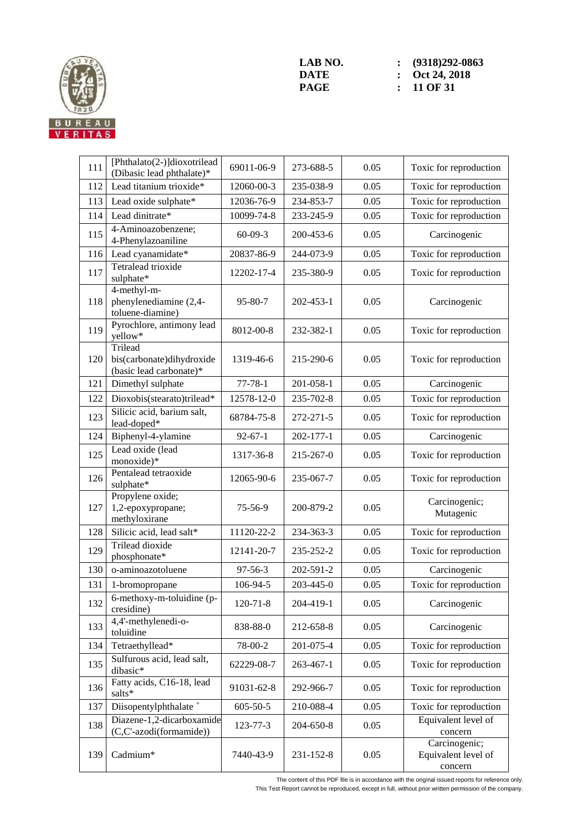

| 111 | [Phthalato(2-)]dioxotrilead<br>(Dibasic lead phthalate)*        | 69011-06-9     | 273-688-5 | 0.05 | Toxic for reproduction                          |
|-----|-----------------------------------------------------------------|----------------|-----------|------|-------------------------------------------------|
| 112 | Lead titanium trioxide*                                         | 12060-00-3     | 235-038-9 | 0.05 | Toxic for reproduction                          |
| 113 | Lead oxide sulphate*                                            | 12036-76-9     | 234-853-7 | 0.05 | Toxic for reproduction                          |
| 114 | Lead dinitrate*                                                 | 10099-74-8     | 233-245-9 | 0.05 | Toxic for reproduction                          |
| 115 | 4-Aminoazobenzene;<br>4-Phenylazoaniline                        | $60 - 09 - 3$  | 200-453-6 | 0.05 | Carcinogenic                                    |
| 116 | Lead cyanamidate*                                               | 20837-86-9     | 244-073-9 | 0.05 | Toxic for reproduction                          |
| 117 | Tetralead trioxide<br>sulphate*                                 | 12202-17-4     | 235-380-9 | 0.05 | Toxic for reproduction                          |
| 118 | 4-methyl-m-<br>phenylenediamine (2,4-<br>toluene-diamine)       | $95 - 80 - 7$  | 202-453-1 | 0.05 | Carcinogenic                                    |
| 119 | Pyrochlore, antimony lead<br>yellow*                            | 8012-00-8      | 232-382-1 | 0.05 | Toxic for reproduction                          |
| 120 | Trilead<br>bis(carbonate)dihydroxide<br>(basic lead carbonate)* | 1319-46-6      | 215-290-6 | 0.05 | Toxic for reproduction                          |
| 121 | Dimethyl sulphate                                               | $77 - 78 - 1$  | 201-058-1 | 0.05 | Carcinogenic                                    |
| 122 | Dioxobis(stearato)trilead*                                      | 12578-12-0     | 235-702-8 | 0.05 | Toxic for reproduction                          |
| 123 | Silicic acid, barium salt,<br>lead-doped*                       | 68784-75-8     | 272-271-5 | 0.05 | Toxic for reproduction                          |
| 124 | Biphenyl-4-ylamine                                              | $92 - 67 - 1$  | 202-177-1 | 0.05 | Carcinogenic                                    |
| 125 | Lead oxide (lead<br>monoxide)*                                  | 1317-36-8      | 215-267-0 | 0.05 | Toxic for reproduction                          |
| 126 | Pentalead tetraoxide<br>sulphate*                               | 12065-90-6     | 235-067-7 | 0.05 | Toxic for reproduction                          |
| 127 | Propylene oxide;<br>1,2-epoxypropane;<br>methyloxirane          | 75-56-9        | 200-879-2 | 0.05 | Carcinogenic;<br>Mutagenic                      |
| 128 | Silicic acid, lead salt*                                        | 11120-22-2     | 234-363-3 | 0.05 | Toxic for reproduction                          |
| 129 | Trilead dioxide<br>phosphonate*                                 | 12141-20-7     | 235-252-2 | 0.05 | Toxic for reproduction                          |
| 130 | o-aminoazotoluene                                               | 97-56-3        | 202-591-2 | 0.05 | Carcinogenic                                    |
| 131 | 1-bromopropane                                                  | 106-94-5       | 203-445-0 | 0.05 | Toxic for reproduction                          |
| 132 | 6-methoxy-m-toluidine (p-<br>cresidine)                         | $120 - 71 - 8$ | 204-419-1 | 0.05 | Carcinogenic                                    |
| 133 | 4,4'-methylenedi-o-<br>toluidine                                | 838-88-0       | 212-658-8 | 0.05 | Carcinogenic                                    |
| 134 | Tetraethyllead*                                                 | 78-00-2        | 201-075-4 | 0.05 | Toxic for reproduction                          |
| 135 | Sulfurous acid, lead salt,<br>dibasic*                          | 62229-08-7     | 263-467-1 | 0.05 | Toxic for reproduction                          |
| 136 | Fatty acids, C16-18, lead<br>salts*                             | 91031-62-8     | 292-966-7 | 0.05 | Toxic for reproduction                          |
| 137 | Diisopentylphthalate <sup>+</sup>                               | $605 - 50 - 5$ | 210-088-4 | 0.05 | Toxic for reproduction                          |
| 138 | Diazene-1,2-dicarboxamide<br>(C,C'-azodi(formamide))            | 123-77-3       | 204-650-8 | 0.05 | Equivalent level of<br>concern                  |
| 139 | Cadmium*                                                        | 7440-43-9      | 231-152-8 | 0.05 | Carcinogenic;<br>Equivalent level of<br>concern |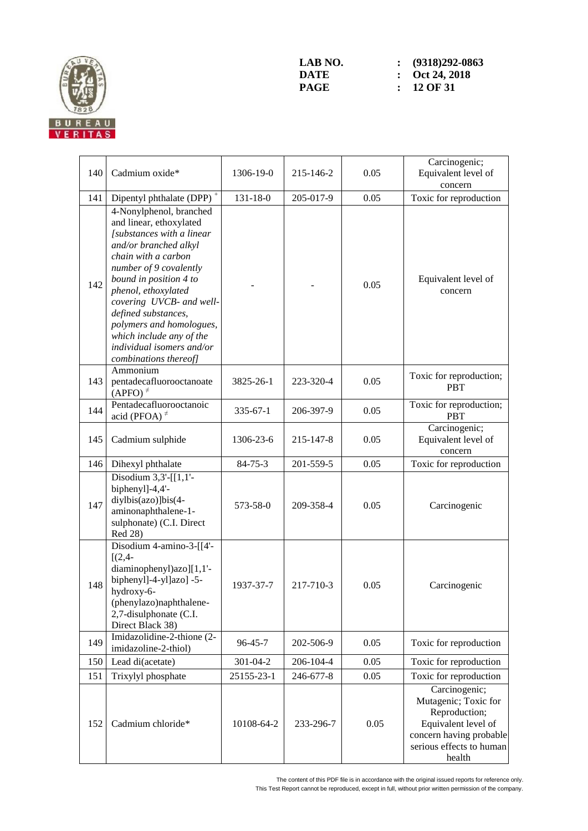

| 140 | Cadmium oxide*                                                                                                                                                                                                                                                                                                                                                              | 1306-19-0      | 215-146-2 | 0.05 | Carcinogenic;<br>Equivalent level of<br>concern                                                                                                |
|-----|-----------------------------------------------------------------------------------------------------------------------------------------------------------------------------------------------------------------------------------------------------------------------------------------------------------------------------------------------------------------------------|----------------|-----------|------|------------------------------------------------------------------------------------------------------------------------------------------------|
| 141 | Dipentyl phthalate (DPP) <sup>+</sup>                                                                                                                                                                                                                                                                                                                                       | $131 - 18 - 0$ | 205-017-9 | 0.05 | Toxic for reproduction                                                                                                                         |
| 142 | 4-Nonylphenol, branched<br>and linear, ethoxylated<br>[substances with a linear<br>and/or branched alkyl<br>chain with a carbon<br>number of 9 covalently<br>bound in position 4 to<br>phenol, ethoxylated<br>covering UVCB- and well-<br>defined substances,<br>polymers and homologues,<br>which include any of the<br>individual isomers and/or<br>combinations thereof] |                |           | 0.05 | Equivalent level of<br>concern                                                                                                                 |
| 143 | Ammonium<br>pentadecafluorooctanoate<br>$(APFO)^{\neq}$                                                                                                                                                                                                                                                                                                                     | 3825-26-1      | 223-320-4 | 0.05 | Toxic for reproduction;<br><b>PBT</b>                                                                                                          |
| 144 | Pentadecafluorooctanoic<br>acid (PFOA) $*$                                                                                                                                                                                                                                                                                                                                  | $335 - 67 - 1$ | 206-397-9 | 0.05 | Toxic for reproduction;<br><b>PBT</b>                                                                                                          |
| 145 | Cadmium sulphide                                                                                                                                                                                                                                                                                                                                                            | 1306-23-6      | 215-147-8 | 0.05 | Carcinogenic;<br>Equivalent level of<br>concern                                                                                                |
| 146 | Dihexyl phthalate                                                                                                                                                                                                                                                                                                                                                           | $84 - 75 - 3$  | 201-559-5 | 0.05 | Toxic for reproduction                                                                                                                         |
| 147 | Disodium $3,3'$ -[[1,1'-<br>biphenyl]-4,4'-<br>diylbis(azo)]bis(4-<br>aminonaphthalene-1-<br>sulphonate) (C.I. Direct<br>Red 28)                                                                                                                                                                                                                                            | 573-58-0       | 209-358-4 | 0.05 | Carcinogenic                                                                                                                                   |
| 148 | Disodium 4-amino-3-[[4'-<br>$[(2,4-$<br>diaminophenyl)azo][1,1'-<br>biphenyl]-4-yl]azo] -5-<br>hydroxy-6-<br>(phenylazo)naphthalene-<br>2,7-disulphonate (C.I.<br>Direct Black 38)                                                                                                                                                                                          | 1937-37-7      | 217-710-3 | 0.05 | Carcinogenic                                                                                                                                   |
| 149 | Imidazolidine-2-thione (2-<br>imidazoline-2-thiol)                                                                                                                                                                                                                                                                                                                          | $96 - 45 - 7$  | 202-506-9 | 0.05 | Toxic for reproduction                                                                                                                         |
| 150 | Lead di(acetate)                                                                                                                                                                                                                                                                                                                                                            | 301-04-2       | 206-104-4 | 0.05 | Toxic for reproduction                                                                                                                         |
| 151 | Trixylyl phosphate                                                                                                                                                                                                                                                                                                                                                          | 25155-23-1     | 246-677-8 | 0.05 | Toxic for reproduction                                                                                                                         |
| 152 | Cadmium chloride*                                                                                                                                                                                                                                                                                                                                                           | 10108-64-2     | 233-296-7 | 0.05 | Carcinogenic;<br>Mutagenic; Toxic for<br>Reproduction;<br>Equivalent level of<br>concern having probable<br>serious effects to human<br>health |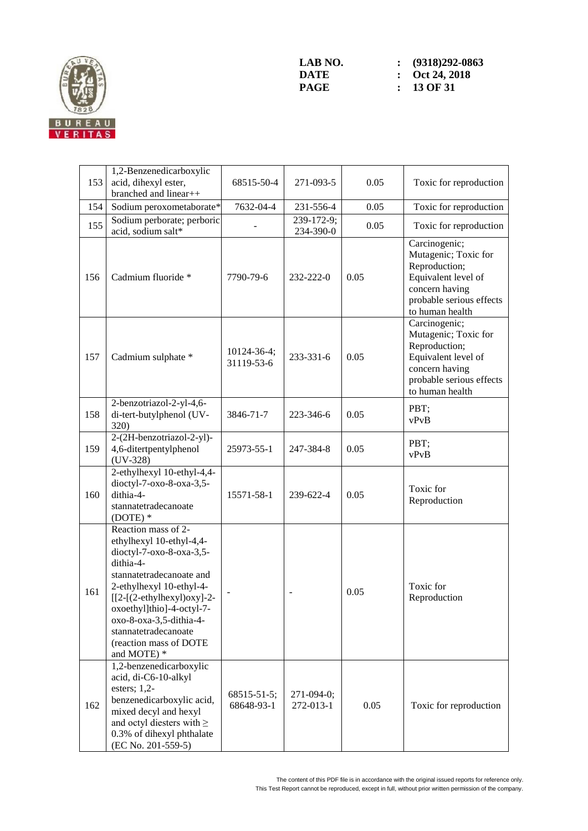

|     | 1,2-Benzenedicarboxylic                                                                                                                                                                                                                                                                                  |                                  |                         |      |                                                                                                                                                |
|-----|----------------------------------------------------------------------------------------------------------------------------------------------------------------------------------------------------------------------------------------------------------------------------------------------------------|----------------------------------|-------------------------|------|------------------------------------------------------------------------------------------------------------------------------------------------|
| 153 | acid, dihexyl ester,<br>branched and linear++                                                                                                                                                                                                                                                            | 68515-50-4                       | 271-093-5               | 0.05 | Toxic for reproduction                                                                                                                         |
| 154 | Sodium peroxometaborate*                                                                                                                                                                                                                                                                                 | 7632-04-4                        | 231-556-4               | 0.05 | Toxic for reproduction                                                                                                                         |
| 155 | Sodium perborate; perboric<br>acid, sodium salt*                                                                                                                                                                                                                                                         |                                  | 239-172-9;<br>234-390-0 | 0.05 | Toxic for reproduction                                                                                                                         |
| 156 | Cadmium fluoride *                                                                                                                                                                                                                                                                                       | 7790-79-6                        | 232-222-0               | 0.05 | Carcinogenic;<br>Mutagenic; Toxic for<br>Reproduction;<br>Equivalent level of<br>concern having<br>probable serious effects<br>to human health |
| 157 | Cadmium sulphate *                                                                                                                                                                                                                                                                                       | $10124 - 36 - 4$ ;<br>31119-53-6 | 233-331-6               | 0.05 | Carcinogenic;<br>Mutagenic; Toxic for<br>Reproduction;<br>Equivalent level of<br>concern having<br>probable serious effects<br>to human health |
| 158 | 2-benzotriazol-2-yl-4,6-<br>di-tert-butylphenol (UV-<br>320)                                                                                                                                                                                                                                             | 3846-71-7                        | 223-346-6               | 0.05 | PBT;<br>vPvB                                                                                                                                   |
| 159 | 2-(2H-benzotriazol-2-yl)-<br>4,6-ditertpentylphenol<br>$(UV-328)$                                                                                                                                                                                                                                        | 25973-55-1                       | 247-384-8               | 0.05 | PBT;<br>vPvB                                                                                                                                   |
| 160 | 2-ethylhexyl 10-ethyl-4,4-<br>dioctyl-7-oxo-8-oxa-3,5-<br>dithia-4-<br>stannatetradecanoate<br>$(DOTE)*$                                                                                                                                                                                                 | 15571-58-1                       | 239-622-4               | 0.05 | Toxic for<br>Reproduction                                                                                                                      |
| 161 | Reaction mass of 2-<br>ethylhexyl 10-ethyl-4,4-<br>dioctyl-7-oxo-8-oxa-3,5-<br>dithia-4-<br>stannatetradecanoate and<br>2-ethylhexyl 10-ethyl-4-<br>$[[2-(2-ethylhexyl)oxy]-2-$<br>oxoethyl]thio]-4-octyl-7-<br>oxo-8-oxa-3,5-dithia-4-<br>stannatetradecanoate<br>(reaction mass of DOTE<br>and MOTE) * |                                  |                         | 0.05 | Toxic for<br>Reproduction                                                                                                                      |
| 162 | 1,2-benzenedicarboxylic<br>acid, di-C6-10-alkyl<br>esters; $1,2$ -<br>benzenedicarboxylic acid,<br>mixed decyl and hexyl<br>and octyl diesters with $\geq$<br>0.3% of dihexyl phthalate<br>(EC No. 201-559-5)                                                                                            | 68515-51-5;<br>68648-93-1        | 271-094-0;<br>272-013-1 | 0.05 | Toxic for reproduction                                                                                                                         |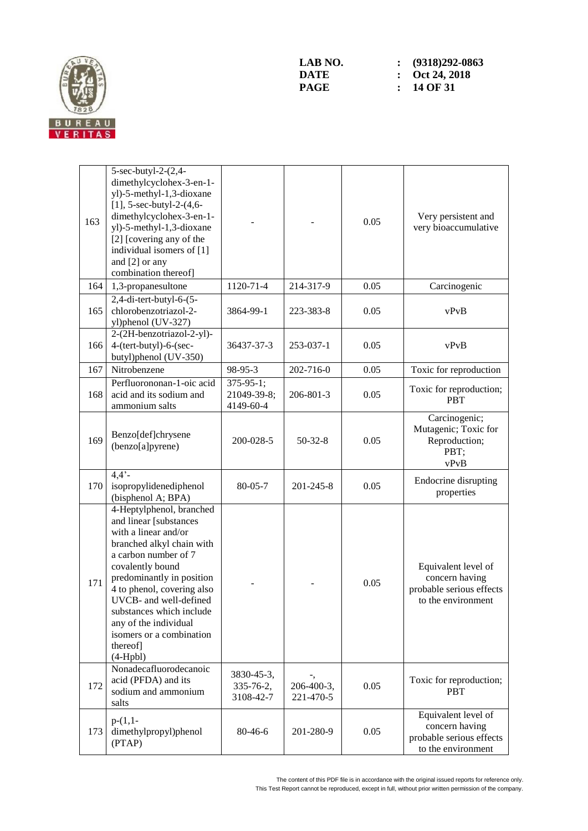

| 163 | 5-sec-butyl-2- $(2,4-$<br>dimethylcyclohex-3-en-1-<br>yl)-5-methyl-1,3-dioxane<br>[1], $5$ -sec-butyl-2- $(4, 6$ -<br>dimethylcyclohex-3-en-1-<br>yl)-5-methyl-1,3-dioxane<br>[2] [covering any of the<br>individual isomers of [1]<br>and [2] or any<br>combination thereof]                                                                       |                                              |                         | 0.05 | Very persistent and<br>very bioaccumulative                                             |
|-----|-----------------------------------------------------------------------------------------------------------------------------------------------------------------------------------------------------------------------------------------------------------------------------------------------------------------------------------------------------|----------------------------------------------|-------------------------|------|-----------------------------------------------------------------------------------------|
| 164 | 1,3-propanesultone                                                                                                                                                                                                                                                                                                                                  | 1120-71-4                                    | 214-317-9               | 0.05 | Carcinogenic                                                                            |
| 165 | 2,4-di-tert-butyl-6-(5-<br>chlorobenzotriazol-2-<br>yl)phenol (UV-327)                                                                                                                                                                                                                                                                              | 3864-99-1                                    | 223-383-8               | 0.05 | vPvB                                                                                    |
| 166 | 2-(2H-benzotriazol-2-yl)-<br>4-(tert-butyl)-6-(sec-<br>butyl)phenol (UV-350)                                                                                                                                                                                                                                                                        | 36437-37-3                                   | 253-037-1               | 0.05 | vPvB                                                                                    |
| 167 | Nitrobenzene                                                                                                                                                                                                                                                                                                                                        | 98-95-3                                      | 202-716-0               | 0.05 | Toxic for reproduction                                                                  |
| 168 | Perfluorononan-1-oic acid<br>acid and its sodium and<br>ammonium salts                                                                                                                                                                                                                                                                              | $375 - 95 - 1$ ;<br>21049-39-8;<br>4149-60-4 | 206-801-3               | 0.05 | Toxic for reproduction;<br><b>PBT</b>                                                   |
| 169 | Benzo[def]chrysene<br>(benzo[a]pyrene)                                                                                                                                                                                                                                                                                                              | 200-028-5                                    | $50-32-8$               | 0.05 | Carcinogenic;<br>Mutagenic; Toxic for<br>Reproduction;<br>PBT;<br>vPvB                  |
| 170 | $4,4'$ -<br>isopropylidenediphenol<br>(bisphenol A; BPA)                                                                                                                                                                                                                                                                                            | $80 - 05 - 7$                                | 201-245-8               | 0.05 | Endocrine disrupting<br>properties                                                      |
| 171 | 4-Heptylphenol, branched<br>and linear [substances<br>with a linear and/or<br>branched alkyl chain with<br>a carbon number of 7<br>covalently bound<br>predominantly in position<br>4 to phenol, covering also<br>UVCB- and well-defined<br>substances which include<br>any of the individual<br>isomers or a combination<br>thereof]<br>$(4-Hpbl)$ |                                              |                         | 0.05 | Equivalent level of<br>concern having<br>probable serious effects<br>to the environment |
| 172 | Nonadecafluorodecanoic<br>acid (PFDA) and its<br>sodium and ammonium<br>salts                                                                                                                                                                                                                                                                       | 3830-45-3,<br>335-76-2,<br>3108-42-7         | 206-400-3,<br>221-470-5 | 0.05 | Toxic for reproduction;<br><b>PBT</b>                                                   |
| 173 | $p-(1,1-$<br>dimethylpropyl)phenol<br>(PTAP)                                                                                                                                                                                                                                                                                                        | 80-46-6                                      | 201-280-9               | 0.05 | Equivalent level of<br>concern having<br>probable serious effects<br>to the environment |

The content of this PDF file is in accordance with the original issued reports for reference only. This Test Report cannot be reproduced, except in full, without prior written permission of the company.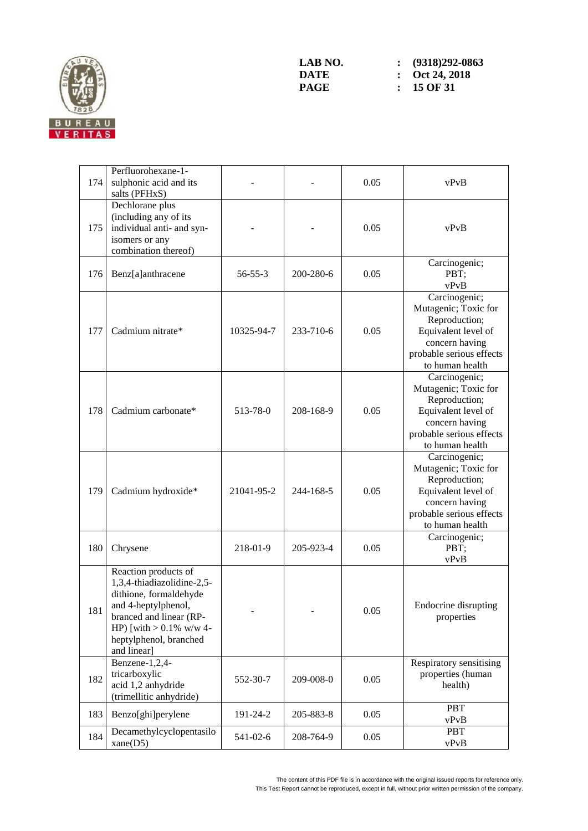

| 174 | Perfluorohexane-1-<br>sulphonic acid and its<br>salts (PFHxS)                                                                                                                                         |               |           | 0.05 | vPvB                                                                                                                                           |
|-----|-------------------------------------------------------------------------------------------------------------------------------------------------------------------------------------------------------|---------------|-----------|------|------------------------------------------------------------------------------------------------------------------------------------------------|
| 175 | Dechlorane plus<br>(including any of its<br>individual anti- and syn-<br>isomers or any<br>combination thereof)                                                                                       |               |           | 0.05 | vPvB                                                                                                                                           |
| 176 | Benz[a]anthracene                                                                                                                                                                                     | $56 - 55 - 3$ | 200-280-6 | 0.05 | Carcinogenic;<br>PBT;<br>vPvB                                                                                                                  |
| 177 | Cadmium nitrate*                                                                                                                                                                                      | 10325-94-7    | 233-710-6 | 0.05 | Carcinogenic;<br>Mutagenic; Toxic for<br>Reproduction;<br>Equivalent level of<br>concern having<br>probable serious effects<br>to human health |
| 178 | Cadmium carbonate*                                                                                                                                                                                    | 513-78-0      | 208-168-9 | 0.05 | Carcinogenic;<br>Mutagenic; Toxic for<br>Reproduction;<br>Equivalent level of<br>concern having<br>probable serious effects<br>to human health |
| 179 | Cadmium hydroxide*                                                                                                                                                                                    | 21041-95-2    | 244-168-5 | 0.05 | Carcinogenic;<br>Mutagenic; Toxic for<br>Reproduction;<br>Equivalent level of<br>concern having<br>probable serious effects<br>to human health |
| 180 | Chrysene                                                                                                                                                                                              | 218-01-9      | 205-923-4 | 0.05 | Carcinogenic;<br>PBT;<br>vPvB                                                                                                                  |
| 181 | Reaction products of<br>1,3,4-thiadiazolidine-2,5-<br>dithione, formaldehyde<br>and 4-heptylphenol,<br>branced and linear (RP-<br>HP) [with $> 0.1\%$ w/w 4-<br>heptylphenol, branched<br>and linear] |               |           | 0.05 | Endocrine disrupting<br>properties                                                                                                             |
| 182 | Benzene-1,2,4-<br>tricarboxylic<br>acid 1,2 anhydride<br>(trimellitic anhydride)                                                                                                                      | 552-30-7      | 209-008-0 | 0.05 | Respiratory sensitising<br>properties (human<br>health)                                                                                        |
| 183 | Benzo[ghi]perylene                                                                                                                                                                                    | 191-24-2      | 205-883-8 | 0.05 | <b>PBT</b><br>vPvB                                                                                                                             |
| 184 | Decamethylcyclopentasilo<br>xane(D5)                                                                                                                                                                  | 541-02-6      | 208-764-9 | 0.05 | <b>PBT</b><br>vPvB                                                                                                                             |

The content of this PDF file is in accordance with the original issued reports for reference only. This Test Report cannot be reproduced, except in full, without prior written permission of the company.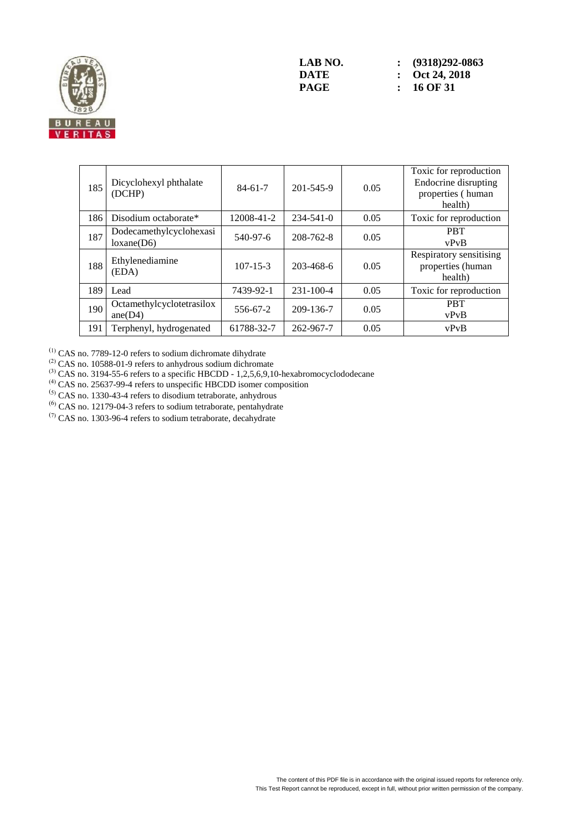

| 185 | Dicyclohexyl phthalate<br>(DCHP)        | $84-61-7$      | 201-545-9       | 0.05 | Toxic for reproduction<br>Endocrine disrupting<br>properties (human<br>health) |
|-----|-----------------------------------------|----------------|-----------------|------|--------------------------------------------------------------------------------|
| 186 | Disodium octaborate*                    | 12008-41-2     | $234 - 541 - 0$ | 0.05 | Toxic for reproduction                                                         |
| 187 | Dodecamethylcyclohexasi<br>loxane(D6)   | 540-97-6       | 208-762-8       | 0.05 | <b>PRT</b><br>vPvB                                                             |
| 188 | Ethylenediamine<br>(EDA)                | $107 - 15 - 3$ | 203-468-6       | 0.05 | Respiratory sensitising<br>properties (human<br>health)                        |
| 189 | Lead                                    | 7439-92-1      | $231 - 100 - 4$ | 0.05 | Toxic for reproduction                                                         |
| 190 | Octamethylcyclotetrasilox<br>ane $(D4)$ | 556-67-2       | 209-136-7       | 0.05 | <b>PBT</b><br>vPvB                                                             |
| 191 | Terphenyl, hydrogenated                 | 61788-32-7     | 262-967-7       | 0.05 | vPvB                                                                           |

 $^{(1)}$  CAS no. 7789-12-0 refers to sodium dichromate dihydrate

 $^{(2)}$  CAS no. 10588-01-9 refers to anhydrous sodium dichromate

 $^{(3)}$  CAS no. 3194-55-6 refers to a specific HBCDD - 1,2,5,6,9,10-hexabromocyclododecane

 $<sup>(4)</sup>$  CAS no. 25637-99-4 refers to unspecific HBCDD isomer composition</sup>

 $(5)$  CAS no. 1330-43-4 refers to disodium tetraborate, anhydrous

(6) CAS no. 12179-04-3 refers to sodium tetraborate, pentahydrate

 $(7)$  CAS no. 1303-96-4 refers to sodium tetraborate, decahydrate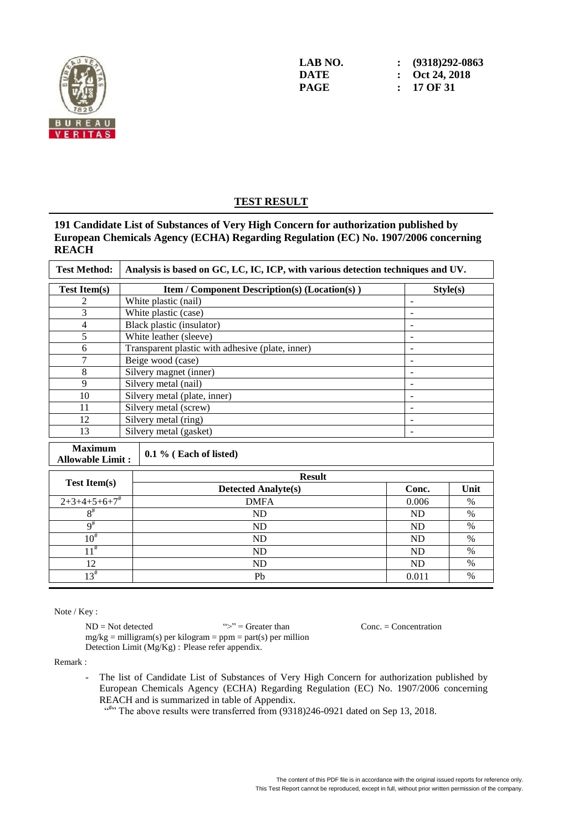

#### **TEST RESULT**

#### **191 Candidate List of Substances of Very High Concern for authorization published by European Chemicals Agency (ECHA) Regarding Regulation (EC) No. 1907/2006 concerning REACH**

| <b>Test Method:</b>                       | Analysis is based on GC, LC, IC, ICP, with various detection techniques and UV. |                          |               |  |  |  |
|-------------------------------------------|---------------------------------------------------------------------------------|--------------------------|---------------|--|--|--|
| <b>Test Item(s)</b>                       | <b>Item / Component Description(s) (Location(s))</b><br>Style(s)                |                          |               |  |  |  |
| 2                                         | White plastic (nail)                                                            | ÷,                       |               |  |  |  |
| 3                                         | White plastic (case)                                                            |                          |               |  |  |  |
| 4                                         | Black plastic (insulator)                                                       | $\overline{\phantom{0}}$ |               |  |  |  |
| 5                                         | White leather (sleeve)                                                          |                          |               |  |  |  |
| 6                                         | Transparent plastic with adhesive (plate, inner)                                | $\overline{\phantom{a}}$ |               |  |  |  |
| 7                                         | Beige wood (case)                                                               |                          |               |  |  |  |
| 8                                         | Silvery magnet (inner)                                                          |                          |               |  |  |  |
| 9                                         | Silvery metal (nail)                                                            | $\overline{\phantom{0}}$ |               |  |  |  |
| 10                                        | Silvery metal (plate, inner)                                                    |                          |               |  |  |  |
| 11                                        | Silvery metal (screw)                                                           |                          |               |  |  |  |
| 12                                        | Silvery metal (ring)                                                            |                          |               |  |  |  |
| 13                                        | Silvery metal (gasket)                                                          |                          |               |  |  |  |
| <b>Maximum</b><br><b>Allowable Limit:</b> | $0.1\%$ (Each of listed)                                                        |                          |               |  |  |  |
|                                           | <b>Result</b>                                                                   |                          |               |  |  |  |
| <b>Test Item(s)</b>                       | <b>Detected Analyte(s)</b>                                                      | Conc.                    | Unit          |  |  |  |
| $2+3+4+5+6+7$                             | <b>DMFA</b>                                                                     | 0.006                    | $\%$          |  |  |  |
| $8^{\#}$                                  | ND                                                                              | <b>ND</b>                | $\frac{0}{0}$ |  |  |  |
| $9^{\#}$                                  | ND                                                                              | <b>ND</b>                | $\%$          |  |  |  |
| $10^{#}$                                  | ND                                                                              | <b>ND</b>                | $\%$          |  |  |  |
| $11^{\#}$                                 | <b>ND</b>                                                                       | <b>ND</b>                | $\frac{0}{0}$ |  |  |  |
| 12                                        | <b>ND</b>                                                                       | ND                       | $\%$          |  |  |  |
| $13^{#}$                                  | Pb                                                                              | 0.011                    | $\%$          |  |  |  |

Note / Key :

 $ND = Not detected$   $\Rightarrow$   $\Rightarrow$  Greater than Conc. = Concentration  $mg/kg =$  milligram(s) per kilogram = ppm = part(s) per million Detection Limit (Mg/Kg) : Please refer appendix.

Remark :

- The list of Candidate List of Substances of Very High Concern for authorization published by European Chemicals Agency (ECHA) Regarding Regulation (EC) No. 1907/2006 concerning REACH and is summarized in table of Appendix.
	- $\cdot$ <sup>(d#,)</sup> The above results were transferred from (9318)246-0921 dated on Sep 13, 2018.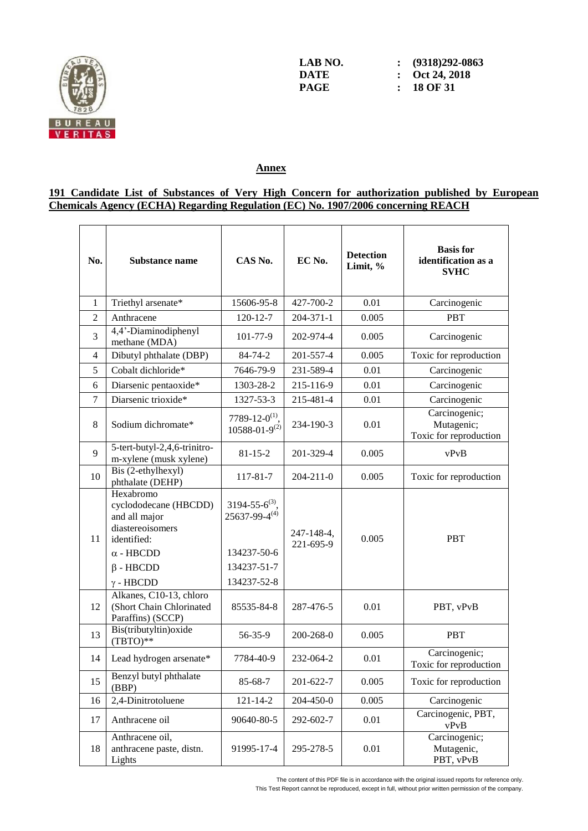

**LAB NO. : (9318)292-0863 DATE : Oct 24, 2018**

## **Annex**

#### **191 Candidate List of Substances of Very High Concern for authorization published by European Chemicals Agency (ECHA) Regarding Regulation (EC) No. 1907/2006 concerning REACH**

| No.            | <b>Substance name</b>                                                                                                                             | CAS No.                                                                                      | EC No.                  | <b>Detection</b><br>Limit, % | <b>Basis for</b><br>identification as a<br><b>SVHC</b> |
|----------------|---------------------------------------------------------------------------------------------------------------------------------------------------|----------------------------------------------------------------------------------------------|-------------------------|------------------------------|--------------------------------------------------------|
| 1              | Triethyl arsenate*                                                                                                                                | 15606-95-8                                                                                   | 427-700-2               | 0.01                         | Carcinogenic                                           |
| $\overline{2}$ | Anthracene                                                                                                                                        | $120 - 12 - 7$                                                                               | 204-371-1               | 0.005                        | <b>PBT</b>                                             |
| 3              | 4,4'-Diaminodiphenyl<br>methane (MDA)                                                                                                             | 101-77-9                                                                                     | 202-974-4               | 0.005                        | Carcinogenic                                           |
| 4              | Dibutyl phthalate (DBP)                                                                                                                           | 84-74-2                                                                                      | 201-557-4               | 0.005                        | Toxic for reproduction                                 |
| 5              | Cobalt dichloride*                                                                                                                                | 7646-79-9                                                                                    | 231-589-4               | 0.01                         | Carcinogenic                                           |
| 6              | Diarsenic pentaoxide*                                                                                                                             | 1303-28-2                                                                                    | 215-116-9               | 0.01                         | Carcinogenic                                           |
| 7              | Diarsenic trioxide*                                                                                                                               | 1327-53-3                                                                                    | 215-481-4               | 0.01                         | Carcinogenic                                           |
| 8              | Sodium dichromate*                                                                                                                                | 7789-12-0 <sup>(1)</sup> ,<br>$10588 - 01 - 9^{(2)}$                                         | 234-190-3               | 0.01                         | Carcinogenic;<br>Mutagenic;<br>Toxic for reproduction  |
| 9              | 5-tert-butyl-2,4,6-trinitro-<br>m-xylene (musk xylene)                                                                                            | $81 - 15 - 2$                                                                                | 201-329-4               | 0.005                        | vPvB                                                   |
| 10             | Bis (2-ethylhexyl)<br>phthalate (DEHP)                                                                                                            | 117-81-7                                                                                     | $204 - 211 - 0$         | 0.005                        | Toxic for reproduction                                 |
| 11             | Hexabromo<br>cyclododecane (HBCDD)<br>and all major<br>diastereoisomers<br>identified:<br>$\alpha$ - HBCDD<br>$\beta$ - HBCDD<br>$\gamma$ - HBCDD | $3194 - 55 - 6^{(3)}$<br>$25637 - 99 - 4^{(4)}$<br>134237-50-6<br>134237-51-7<br>134237-52-8 | 247-148-4,<br>221-695-9 | 0.005                        | <b>PBT</b>                                             |
| 12             | Alkanes, C10-13, chloro<br>(Short Chain Chlorinated<br>Paraffins) (SCCP)                                                                          | 85535-84-8                                                                                   | 287-476-5               | 0.01                         | PBT, vPvB                                              |
| 13             | Bis(tributyltin) oxide<br>$(TBTO)**$                                                                                                              | 56-35-9                                                                                      | 200-268-0               | 0.005                        | <b>PBT</b>                                             |
| 14             | Lead hydrogen arsenate*                                                                                                                           | 7784-40-9                                                                                    | 232-064-2               | 0.01                         | Carcinogenic;<br>Toxic for reproduction                |
| 15             | Benzyl butyl phthalate<br>(BBP)                                                                                                                   | 85-68-7                                                                                      | 201-622-7               | 0.005                        | Toxic for reproduction                                 |
| 16             | 2,4-Dinitrotoluene                                                                                                                                | $121 - 14 - 2$                                                                               | 204-450-0               | 0.005                        | Carcinogenic                                           |
| 17             | Anthracene oil                                                                                                                                    | 90640-80-5                                                                                   | 292-602-7               | 0.01                         | Carcinogenic, PBT,<br>vPvB                             |
| 18             | Anthracene oil,<br>anthracene paste, distn.<br>Lights                                                                                             | 91995-17-4                                                                                   | 295-278-5               | 0.01                         | Carcinogenic;<br>Mutagenic,<br>PBT, vPvB               |

The content of this PDF file is in accordance with the original issued reports for reference only.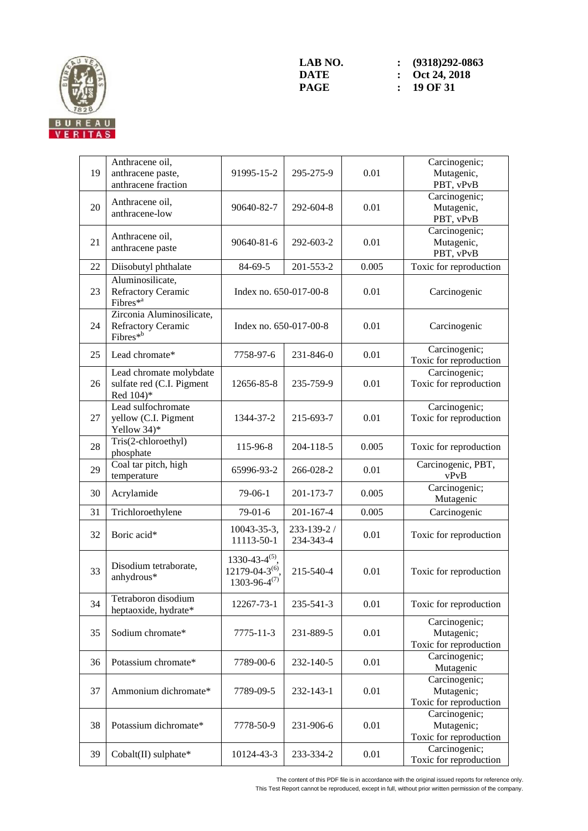

| 19 | Anthracene oil,<br>anthracene paste,<br>anthracene fraction             | 91995-15-2                                                                         | 295-275-9                | 0.01  | Carcinogenic;<br>Mutagenic,<br>PBT, vPvB              |
|----|-------------------------------------------------------------------------|------------------------------------------------------------------------------------|--------------------------|-------|-------------------------------------------------------|
| 20 | Anthracene oil,<br>anthracene-low                                       | 90640-82-7                                                                         | 292-604-8                | 0.01  | Carcinogenic;<br>Mutagenic,<br>PBT, vPvB              |
| 21 | Anthracene oil,<br>anthracene paste                                     | 90640-81-6                                                                         | 292-603-2                | 0.01  | Carcinogenic;<br>Mutagenic,<br>PBT, vPvB              |
| 22 | Diisobutyl phthalate                                                    | 84-69-5                                                                            | 201-553-2                | 0.005 | Toxic for reproduction                                |
| 23 | Aluminosilicate,<br><b>Refractory Ceramic</b><br>Fibres $*^a$           | Index no. 650-017-00-8                                                             |                          | 0.01  | Carcinogenic                                          |
| 24 | Zirconia Aluminosilicate,<br>Refractory Ceramic<br>Fibres <sup>*b</sup> | Index no. 650-017-00-8                                                             |                          | 0.01  | Carcinogenic                                          |
| 25 | Lead chromate*                                                          | 7758-97-6                                                                          | 231-846-0                | 0.01  | Carcinogenic;<br>Toxic for reproduction               |
| 26 | Lead chromate molybdate<br>sulfate red (C.I. Pigment<br>Red 104)*       | 12656-85-8                                                                         | 235-759-9                | 0.01  | Carcinogenic;<br>Toxic for reproduction               |
| 27 | Lead sulfochromate<br>yellow (C.I. Pigment<br>Yellow 34)*               | 1344-37-2                                                                          | 215-693-7                | 0.01  | Carcinogenic;<br>Toxic for reproduction               |
| 28 | Tris(2-chloroethyl)<br>phosphate                                        | 115-96-8                                                                           | 204-118-5                | 0.005 | Toxic for reproduction                                |
| 29 | Coal tar pitch, high<br>temperature                                     | 65996-93-2                                                                         | 266-028-2                | 0.01  | Carcinogenic, PBT,<br>vPvB                            |
| 30 | Acrylamide                                                              | $79-06-1$                                                                          | 201-173-7                | 0.005 | Carcinogenic;<br>Mutagenic                            |
| 31 | Trichloroethylene                                                       | $79-01-6$                                                                          | 201-167-4                | 0.005 | Carcinogenic                                          |
| 32 | Boric acid*                                                             | 10043-35-3,<br>11113-50-1                                                          | 233-139-2 /<br>234-343-4 | 0.01  | Toxic for reproduction                                |
| 33 | Disodium tetraborate,<br>anhydrous*                                     | 1330-43-4 <sup>(5)</sup> ,<br>12179-04-3 <sup>(6)</sup> ,<br>$1303 - 96 - 4^{(7)}$ | 215-540-4                | 0.01  | Toxic for reproduction                                |
| 34 | Tetraboron disodium<br>heptaoxide, hydrate*                             | 12267-73-1                                                                         | 235-541-3                | 0.01  | Toxic for reproduction                                |
| 35 | Sodium chromate*                                                        | 7775-11-3                                                                          | 231-889-5                | 0.01  | Carcinogenic;<br>Mutagenic;<br>Toxic for reproduction |
| 36 | Potassium chromate*                                                     | 7789-00-6                                                                          | 232-140-5                | 0.01  | Carcinogenic;<br>Mutagenic                            |
| 37 | Ammonium dichromate*                                                    | 7789-09-5                                                                          | 232-143-1                | 0.01  | Carcinogenic;<br>Mutagenic;<br>Toxic for reproduction |
| 38 | Potassium dichromate*                                                   | 7778-50-9                                                                          | 231-906-6                | 0.01  | Carcinogenic;<br>Mutagenic;<br>Toxic for reproduction |
| 39 | Cobalt(II) sulphate*                                                    | 10124-43-3                                                                         | 233-334-2                | 0.01  | Carcinogenic;<br>Toxic for reproduction               |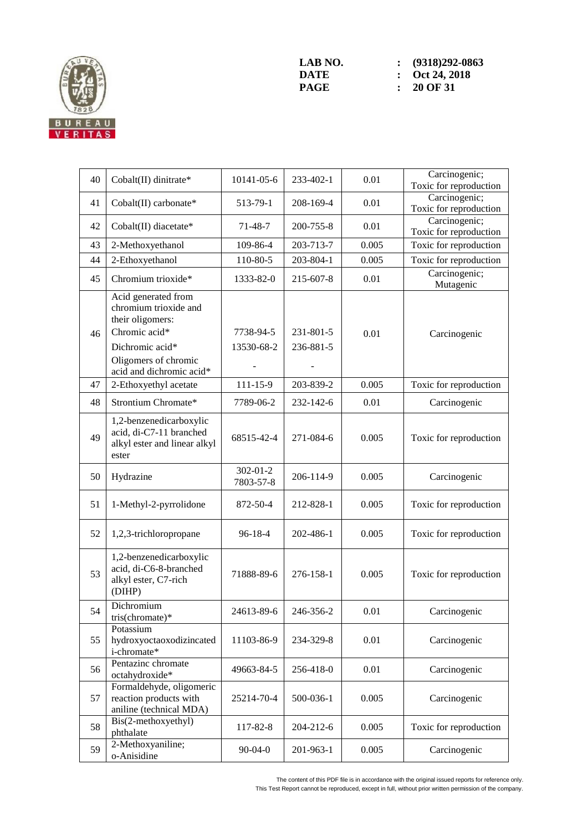

| 40 | Cobalt(II) dinitrate*                                                                                                                                    | 10141-05-6                  | 233-402-1              | 0.01  | Carcinogenic;<br>Toxic for reproduction |
|----|----------------------------------------------------------------------------------------------------------------------------------------------------------|-----------------------------|------------------------|-------|-----------------------------------------|
| 41 | Cobalt(II) carbonate*                                                                                                                                    | 513-79-1                    | 208-169-4              | 0.01  | Carcinogenic;<br>Toxic for reproduction |
| 42 | Cobalt(II) diacetate*                                                                                                                                    | $71 - 48 - 7$               | 200-755-8              | 0.01  | Carcinogenic;<br>Toxic for reproduction |
| 43 | 2-Methoxyethanol                                                                                                                                         | 109-86-4                    | 203-713-7              | 0.005 | Toxic for reproduction                  |
| 44 | 2-Ethoxyethanol                                                                                                                                          | 110-80-5                    | 203-804-1              | 0.005 | Toxic for reproduction                  |
| 45 | Chromium trioxide*                                                                                                                                       | 1333-82-0                   | 215-607-8              | 0.01  | Carcinogenic;<br>Mutagenic              |
| 46 | Acid generated from<br>chromium trioxide and<br>their oligomers:<br>Chromic acid*<br>Dichromic acid*<br>Oligomers of chromic<br>acid and dichromic acid* | 7738-94-5<br>13530-68-2     | 231-801-5<br>236-881-5 | 0.01  | Carcinogenic                            |
| 47 | 2-Ethoxyethyl acetate                                                                                                                                    | $111 - 15 - 9$              | 203-839-2              | 0.005 | Toxic for reproduction                  |
| 48 | Strontium Chromate*                                                                                                                                      | 7789-06-2                   | 232-142-6              | 0.01  | Carcinogenic                            |
| 49 | 1,2-benzenedicarboxylic<br>acid, di-C7-11 branched<br>alkyl ester and linear alkyl<br>ester                                                              | 68515-42-4                  | 271-084-6              | 0.005 | Toxic for reproduction                  |
| 50 | Hydrazine                                                                                                                                                | $302 - 01 - 2$<br>7803-57-8 | 206-114-9              | 0.005 | Carcinogenic                            |
| 51 | 1-Methyl-2-pyrrolidone                                                                                                                                   | 872-50-4                    | 212-828-1              | 0.005 | Toxic for reproduction                  |
| 52 | 1,2,3-trichloropropane                                                                                                                                   | $96 - 18 - 4$               | 202-486-1              | 0.005 | Toxic for reproduction                  |
| 53 | 1,2-benzenedicarboxylic<br>acid, di-C6-8-branched<br>alkyl ester, C7-rich<br>(DIHP)                                                                      | 71888-89-6                  | 276-158-1              | 0.005 | Toxic for reproduction                  |
| 54 | Dichromium<br>tris(chromate)*                                                                                                                            | 24613-89-6                  | 246-356-2              | 0.01  | Carcinogenic                            |
| 55 | Potassium<br>hydroxyoctaoxodizincated<br>i-chromate*                                                                                                     | 11103-86-9                  | 234-329-8              | 0.01  | Carcinogenic                            |
| 56 | Pentazinc chromate<br>octahydroxide*                                                                                                                     | 49663-84-5                  | 256-418-0              | 0.01  | Carcinogenic                            |
| 57 | Formaldehyde, oligomeric<br>reaction products with<br>aniline (technical MDA)                                                                            | 25214-70-4                  | 500-036-1              | 0.005 | Carcinogenic                            |
| 58 | Bis(2-methoxyethyl)<br>phthalate                                                                                                                         | 117-82-8                    | 204-212-6              | 0.005 | Toxic for reproduction                  |
| 59 | 2-Methoxyaniline;<br>o-Anisidine                                                                                                                         | $90-04-0$                   | 201-963-1              | 0.005 | Carcinogenic                            |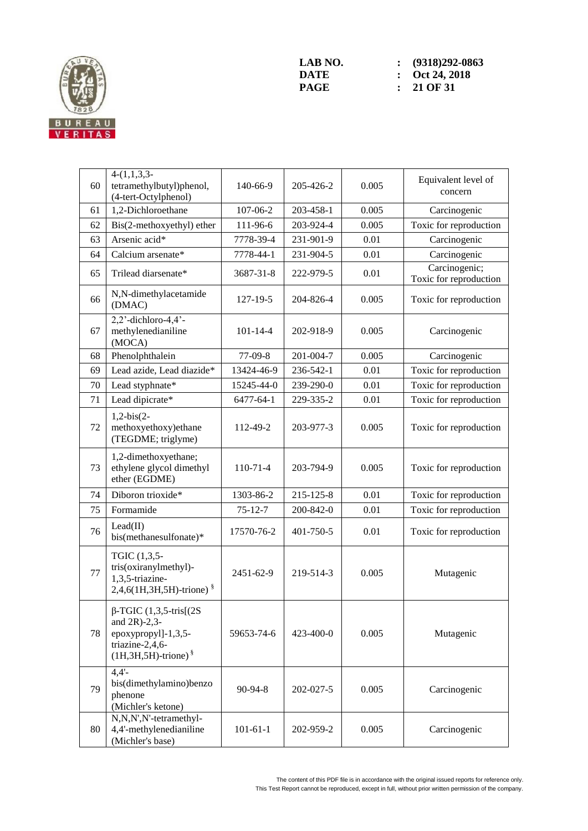

| 60 | $4-(1,1,3,3-$<br>tetramethylbutyl)phenol,<br>(4-tert-Octylphenol)                                                       | 140-66-9       | 205-426-2 | 0.005    | Equivalent level of<br>concern          |
|----|-------------------------------------------------------------------------------------------------------------------------|----------------|-----------|----------|-----------------------------------------|
| 61 | 1,2-Dichloroethane                                                                                                      | 107-06-2       | 203-458-1 | 0.005    | Carcinogenic                            |
| 62 | Bis(2-methoxyethyl) ether                                                                                               | 111-96-6       | 203-924-4 | 0.005    | Toxic for reproduction                  |
| 63 | Arsenic acid*                                                                                                           | 7778-39-4      | 231-901-9 | 0.01     | Carcinogenic                            |
| 64 | Calcium arsenate*                                                                                                       | 7778-44-1      | 231-904-5 | 0.01     | Carcinogenic                            |
| 65 | Trilead diarsenate*                                                                                                     | 3687-31-8      | 222-979-5 | 0.01     | Carcinogenic;<br>Toxic for reproduction |
| 66 | N,N-dimethylacetamide<br>(DMAC)                                                                                         | $127 - 19 - 5$ | 204-826-4 | 0.005    | Toxic for reproduction                  |
| 67 | $2,2$ '-dichloro-4,4'-<br>methylenedianiline<br>(MOCA)                                                                  | $101 - 14 - 4$ | 202-918-9 | 0.005    | Carcinogenic                            |
| 68 | Phenolphthalein                                                                                                         | 77-09-8        | 201-004-7 | 0.005    | Carcinogenic                            |
| 69 | Lead azide, Lead diazide*                                                                                               | 13424-46-9     | 236-542-1 | 0.01     | Toxic for reproduction                  |
| 70 | Lead styphnate*                                                                                                         | 15245-44-0     | 239-290-0 | 0.01     | Toxic for reproduction                  |
| 71 | Lead dipicrate*                                                                                                         | 6477-64-1      | 229-335-2 | 0.01     | Toxic for reproduction                  |
| 72 | $1,2-bis(2-$<br>methoxyethoxy)ethane<br>(TEGDME; triglyme)                                                              | 112-49-2       | 203-977-3 | 0.005    | Toxic for reproduction                  |
| 73 | 1,2-dimethoxyethane;<br>ethylene glycol dimethyl<br>ether (EGDME)                                                       | $110-71-4$     | 203-794-9 | 0.005    | Toxic for reproduction                  |
| 74 | Diboron trioxide*                                                                                                       | 1303-86-2      | 215-125-8 | 0.01     | Toxic for reproduction                  |
| 75 | Formamide                                                                                                               | $75 - 12 - 7$  | 200-842-0 | $0.01\,$ | Toxic for reproduction                  |
| 76 | Lead(II)<br>bis(methanesulfonate)*                                                                                      | 17570-76-2     | 401-750-5 | 0.01     | Toxic for reproduction                  |
| 77 | TGIC (1,3,5-<br>tris(oxiranylmethyl)-<br>1,3,5-triazine-<br>2,4,6(1H,3H,5H)-trione) §                                   | 2451-62-9      | 219-514-3 | 0.005    | Mutagenic                               |
| 78 | $\beta$ -TGIC (1,3,5-tris[(2S)<br>and 2R)-2,3-<br>epoxypropyl]-1,3,5-<br>triazine-2,4,6-<br>$(1H, 3H, 5H)$ -trione) $§$ | 59653-74-6     | 423-400-0 | 0.005    | Mutagenic                               |
| 79 | $4,4'$ -<br>bis(dimethylamino)benzo<br>phenone<br>(Michler's ketone)                                                    | 90-94-8        | 202-027-5 | 0.005    | Carcinogenic                            |
| 80 | N,N,N',N'-tetramethyl-<br>4,4'-methylenedianiline<br>(Michler's base)                                                   | $101 - 61 - 1$ | 202-959-2 | 0.005    | Carcinogenic                            |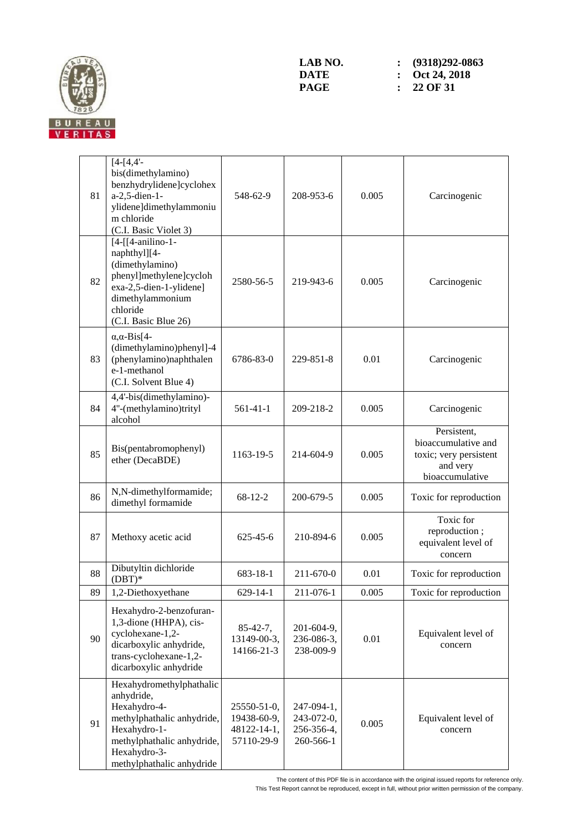

| 81 | $[4-[4,4]$ -<br>bis(dimethylamino)<br>benzhydrylidene]cyclohex<br>a-2,5-dien-1-<br>ylidene]dimethylammoniu<br>m chloride<br>(C.I. Basic Violet 3)                               | 548-62-9                                                | 208-953-6                                           | 0.005 | Carcinogenic                                                                                |
|----|---------------------------------------------------------------------------------------------------------------------------------------------------------------------------------|---------------------------------------------------------|-----------------------------------------------------|-------|---------------------------------------------------------------------------------------------|
| 82 | $[4-[14-anilino-1-$<br>naphthyl][4-<br>(dimethylamino)<br>phenyl]methylene]cycloh<br>exa-2,5-dien-1-ylidene]<br>dimethylammonium<br>chloride<br>(C.I. Basic Blue 26)            | 2580-56-5                                               | 219-943-6                                           | 0.005 | Carcinogenic                                                                                |
| 83 | $\alpha$ , $\alpha$ -Bis[4-<br>(dimethylamino)phenyl]-4<br>(phenylamino)naphthalen<br>e-1-methanol<br>(C.I. Solvent Blue 4)                                                     | 6786-83-0                                               | 229-851-8                                           | 0.01  | Carcinogenic                                                                                |
| 84 | 4,4'-bis(dimethylamino)-<br>4"-(methylamino)trityl<br>alcohol                                                                                                                   | 561-41-1                                                | 209-218-2                                           | 0.005 | Carcinogenic                                                                                |
| 85 | Bis(pentabromophenyl)<br>ether (DecaBDE)                                                                                                                                        | 1163-19-5                                               | 214-604-9                                           | 0.005 | Persistent,<br>bioaccumulative and<br>toxic; very persistent<br>and very<br>bioaccumulative |
| 86 | N,N-dimethylformamide;<br>dimethyl formamide                                                                                                                                    | $68 - 12 - 2$                                           | 200-679-5                                           | 0.005 | Toxic for reproduction                                                                      |
| 87 | Methoxy acetic acid                                                                                                                                                             | $625 - 45 - 6$                                          | 210-894-6                                           | 0.005 | Toxic for<br>reproduction;<br>equivalent level of<br>concern                                |
| 88 | Dibutyltin dichloride<br>$(DBT)^*$                                                                                                                                              | 683-18-1                                                | 211-670-0                                           | 0.01  | Toxic for reproduction                                                                      |
| 89 | 1,2-Diethoxyethane                                                                                                                                                              | 629-14-1                                                | 211-076-1                                           | 0.005 | Toxic for reproduction                                                                      |
| 90 | Hexahydro-2-benzofuran-<br>1,3-dione (HHPA), cis-<br>cyclohexane-1,2-<br>dicarboxylic anhydride,<br>trans-cyclohexane-1,2-<br>dicarboxylic anhydride                            | $85 - 42 - 7$ ,<br>13149-00-3,<br>14166-21-3            | 201-604-9,<br>236-086-3,<br>238-009-9               | 0.01  | Equivalent level of<br>concern                                                              |
| 91 | Hexahydromethylphathalic<br>anhydride,<br>Hexahydro-4-<br>methylphathalic anhydride,<br>Hexahydro-1-<br>methylphathalic anhydride,<br>Hexahydro-3-<br>methylphathalic anhydride | 25550-51-0,<br>19438-60-9,<br>48122-14-1,<br>57110-29-9 | 247-094-1,<br>243-072-0,<br>256-356-4,<br>260-566-1 | 0.005 | Equivalent level of<br>concern                                                              |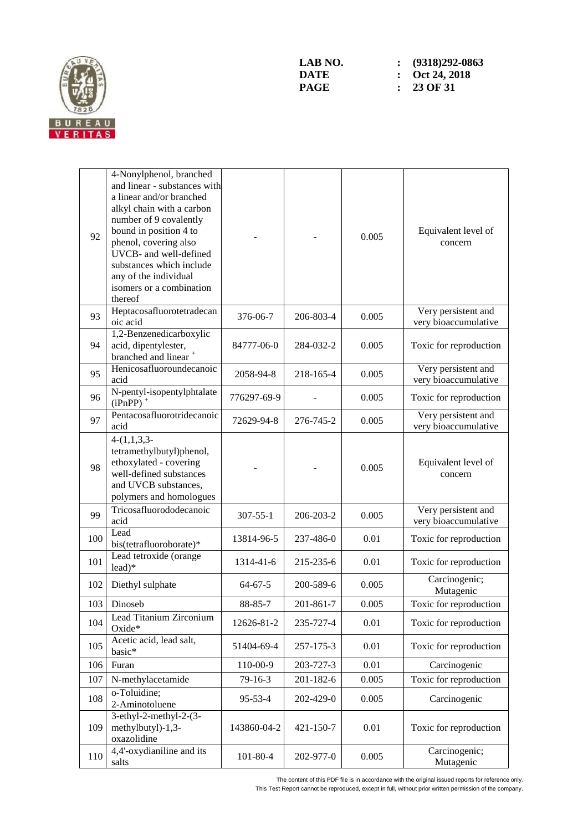

| 92  | 4-Nonylphenol, branched<br>and linear - substances with<br>a linear and/or branched<br>alkyl chain with a carbon<br>number of 9 covalently<br>bound in position 4 to<br>phenol, covering also<br>UVCB- and well-defined<br>substances which include<br>any of the individual<br>isomers or a combination<br>thereof |                |           | 0.005 | Equivalent level of<br>concern              |
|-----|---------------------------------------------------------------------------------------------------------------------------------------------------------------------------------------------------------------------------------------------------------------------------------------------------------------------|----------------|-----------|-------|---------------------------------------------|
| 93  | Heptacosafluorotetradecan<br>oic acid                                                                                                                                                                                                                                                                               | 376-06-7       | 206-803-4 | 0.005 | Very persistent and<br>very bioaccumulative |
| 94  | 1,2-Benzenedicarboxylic<br>acid, dipentylester,<br>branched and linear <sup>+</sup>                                                                                                                                                                                                                                 | 84777-06-0     | 284-032-2 | 0.005 | Toxic for reproduction                      |
| 95  | Henicosafluoroundecanoic<br>acid                                                                                                                                                                                                                                                                                    | 2058-94-8      | 218-165-4 | 0.005 | Very persistent and<br>very bioaccumulative |
| 96  | N-pentyl-isopentylphtalate<br>$(iPnPP)$ <sup>+</sup>                                                                                                                                                                                                                                                                | 776297-69-9    |           | 0.005 | Toxic for reproduction                      |
| 97  | Pentacosafluorotridecanoic<br>acid                                                                                                                                                                                                                                                                                  | 72629-94-8     | 276-745-2 | 0.005 | Very persistent and<br>very bioaccumulative |
| 98  | $4-(1,1,3,3-$<br>tetramethylbutyl)phenol,<br>ethoxylated - covering<br>well-defined substances<br>and UVCB substances,<br>polymers and homologues                                                                                                                                                                   |                |           | 0.005 | Equivalent level of<br>concern              |
| 99  | Tricosafluorododecanoic<br>acid                                                                                                                                                                                                                                                                                     | $307 - 55 - 1$ | 206-203-2 | 0.005 | Very persistent and<br>very bioaccumulative |
| 100 | Lead<br>bis(tetrafluoroborate)*                                                                                                                                                                                                                                                                                     | 13814-96-5     | 237-486-0 | 0.01  | Toxic for reproduction                      |
| 101 | Lead tetroxide (orange<br>$lead)*$                                                                                                                                                                                                                                                                                  | 1314-41-6      | 215-235-6 | 0.01  | Toxic for reproduction                      |
| 102 | Diethyl sulphate                                                                                                                                                                                                                                                                                                    | $64 - 67 - 5$  | 200-589-6 | 0.005 | Carcinogenic;<br>Mutagenic                  |
| 103 | Dinoseb                                                                                                                                                                                                                                                                                                             | 88-85-7        | 201-861-7 | 0.005 | Toxic for reproduction                      |
| 104 | Lead Titanium Zirconium<br>Oxide*                                                                                                                                                                                                                                                                                   | 12626-81-2     | 235-727-4 | 0.01  | Toxic for reproduction                      |
| 105 | Acetic acid, lead salt,<br>basic*                                                                                                                                                                                                                                                                                   | 51404-69-4     | 257-175-3 | 0.01  | Toxic for reproduction                      |
| 106 | Furan                                                                                                                                                                                                                                                                                                               | 110-00-9       | 203-727-3 | 0.01  | Carcinogenic                                |
| 107 | N-methylacetamide                                                                                                                                                                                                                                                                                                   | $79-16-3$      | 201-182-6 | 0.005 | Toxic for reproduction                      |
| 108 | o-Toluidine;<br>2-Aminotoluene                                                                                                                                                                                                                                                                                      | $95 - 53 - 4$  | 202-429-0 | 0.005 | Carcinogenic                                |
| 109 | 3-ethyl-2-methyl- $2-(3-$<br>methylbutyl)-1,3-<br>oxazolidine                                                                                                                                                                                                                                                       | 143860-04-2    | 421-150-7 | 0.01  | Toxic for reproduction                      |
| 110 | 4,4'-oxydianiline and its<br>salts                                                                                                                                                                                                                                                                                  | $101 - 80 - 4$ | 202-977-0 | 0.005 | Carcinogenic;<br>Mutagenic                  |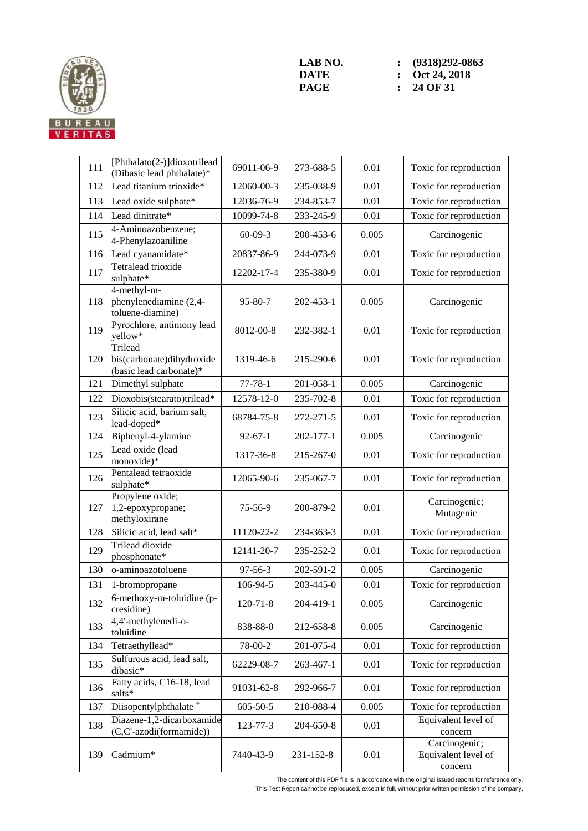

| 111 | [Phthalato(2-)]dioxotrilead<br>(Dibasic lead phthalate)*        | 69011-06-9     | 273-688-5 | 0.01  | Toxic for reproduction                          |
|-----|-----------------------------------------------------------------|----------------|-----------|-------|-------------------------------------------------|
| 112 | Lead titanium trioxide*                                         | 12060-00-3     | 235-038-9 | 0.01  | Toxic for reproduction                          |
| 113 | Lead oxide sulphate*                                            | 12036-76-9     | 234-853-7 | 0.01  | Toxic for reproduction                          |
| 114 | Lead dinitrate*                                                 | 10099-74-8     | 233-245-9 | 0.01  | Toxic for reproduction                          |
| 115 | 4-Aminoazobenzene;<br>4-Phenylazoaniline                        | $60 - 09 - 3$  | 200-453-6 | 0.005 | Carcinogenic                                    |
| 116 | Lead cyanamidate*                                               | 20837-86-9     | 244-073-9 | 0.01  | Toxic for reproduction                          |
| 117 | Tetralead trioxide<br>sulphate*                                 | 12202-17-4     | 235-380-9 | 0.01  | Toxic for reproduction                          |
| 118 | 4-methyl-m-<br>phenylenediamine (2,4-<br>toluene-diamine)       | $95 - 80 - 7$  | 202-453-1 | 0.005 | Carcinogenic                                    |
| 119 | Pyrochlore, antimony lead<br>yellow*                            | 8012-00-8      | 232-382-1 | 0.01  | Toxic for reproduction                          |
| 120 | Trilead<br>bis(carbonate)dihydroxide<br>(basic lead carbonate)* | 1319-46-6      | 215-290-6 | 0.01  | Toxic for reproduction                          |
| 121 | Dimethyl sulphate                                               | $77 - 78 - 1$  | 201-058-1 | 0.005 | Carcinogenic                                    |
| 122 | Dioxobis(stearato)trilead*                                      | 12578-12-0     | 235-702-8 | 0.01  | Toxic for reproduction                          |
| 123 | Silicic acid, barium salt,<br>lead-doped*                       | 68784-75-8     | 272-271-5 | 0.01  | Toxic for reproduction                          |
| 124 | Biphenyl-4-ylamine                                              | $92 - 67 - 1$  | 202-177-1 | 0.005 | Carcinogenic                                    |
| 125 | Lead oxide (lead<br>monoxide)*                                  | 1317-36-8      | 215-267-0 | 0.01  | Toxic for reproduction                          |
| 126 | Pentalead tetraoxide<br>sulphate*                               | 12065-90-6     | 235-067-7 | 0.01  | Toxic for reproduction                          |
| 127 | Propylene oxide;<br>1,2-epoxypropane;<br>methyloxirane          | 75-56-9        | 200-879-2 | 0.01  | Carcinogenic;<br>Mutagenic                      |
| 128 | Silicic acid, lead salt*                                        | 11120-22-2     | 234-363-3 | 0.01  | Toxic for reproduction                          |
| 129 | <b>Trilead dioxide</b><br>phosphonate*                          | 12141-20-7     | 235-252-2 | 0.01  | Toxic for reproduction                          |
| 130 | o-aminoazotoluene                                               | $97 - 56 - 3$  | 202-591-2 | 0.005 | Carcinogenic                                    |
| 131 | 1-bromopropane                                                  | 106-94-5       | 203-445-0 | 0.01  | Toxic for reproduction                          |
| 132 | 6-methoxy-m-toluidine (p-<br>cresidine)                         | $120 - 71 - 8$ | 204-419-1 | 0.005 | Carcinogenic                                    |
| 133 | 4,4'-methylenedi-o-<br>toluidine                                | 838-88-0       | 212-658-8 | 0.005 | Carcinogenic                                    |
| 134 | Tetraethyllead*                                                 | 78-00-2        | 201-075-4 | 0.01  | Toxic for reproduction                          |
| 135 | Sulfurous acid, lead salt,<br>dibasic*                          | 62229-08-7     | 263-467-1 | 0.01  | Toxic for reproduction                          |
| 136 | Fatty acids, C16-18, lead<br>salts*                             | 91031-62-8     | 292-966-7 | 0.01  | Toxic for reproduction                          |
| 137 | Diisopentylphthalate <sup>+</sup>                               | $605 - 50 - 5$ | 210-088-4 | 0.005 | Toxic for reproduction                          |
| 138 | Diazene-1,2-dicarboxamide<br>(C,C'-azodi(formamide))            | 123-77-3       | 204-650-8 | 0.01  | Equivalent level of<br>concern                  |
| 139 | Cadmium*                                                        | 7440-43-9      | 231-152-8 | 0.01  | Carcinogenic;<br>Equivalent level of<br>concern |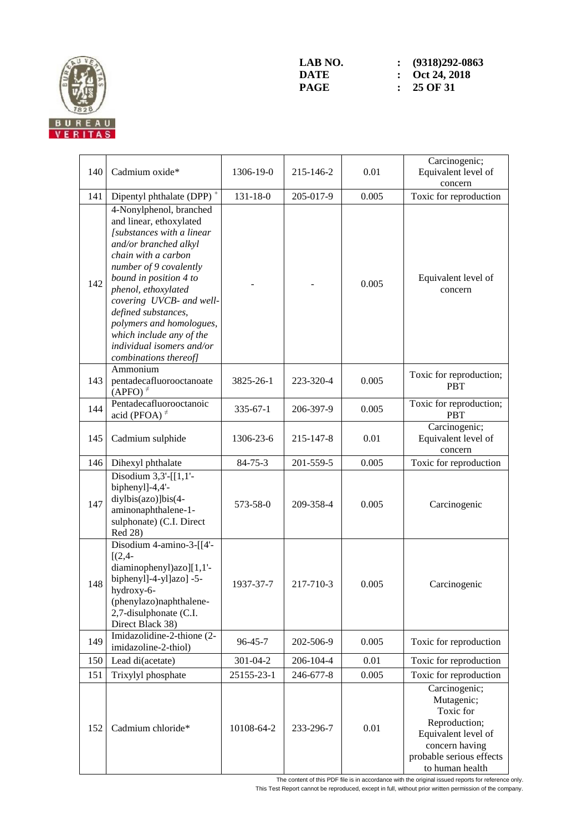

| 140 | Cadmium oxide*                                                                                                                                                                                                                                                                                                                                                              | 1306-19-0      | 215-146-2 | 0.01  | Carcinogenic;<br>Equivalent level of<br>concern                                                                                                   |
|-----|-----------------------------------------------------------------------------------------------------------------------------------------------------------------------------------------------------------------------------------------------------------------------------------------------------------------------------------------------------------------------------|----------------|-----------|-------|---------------------------------------------------------------------------------------------------------------------------------------------------|
| 141 | Dipentyl phthalate (DPP) <sup>+</sup>                                                                                                                                                                                                                                                                                                                                       | $131 - 18 - 0$ | 205-017-9 | 0.005 | Toxic for reproduction                                                                                                                            |
| 142 | 4-Nonylphenol, branched<br>and linear, ethoxylated<br>[substances with a linear<br>and/or branched alkyl<br>chain with a carbon<br>number of 9 covalently<br>bound in position 4 to<br>phenol, ethoxylated<br>covering UVCB- and well-<br>defined substances,<br>polymers and homologues,<br>which include any of the<br>individual isomers and/or<br>combinations thereof] |                |           | 0.005 | Equivalent level of<br>concern                                                                                                                    |
| 143 | Ammonium<br>pentadecafluorooctanoate<br>$(APFO)^{\neq}$                                                                                                                                                                                                                                                                                                                     | 3825-26-1      | 223-320-4 | 0.005 | Toxic for reproduction;<br><b>PBT</b>                                                                                                             |
| 144 | Pentadecafluorooctanoic<br>acid (PFOA) $\neq$                                                                                                                                                                                                                                                                                                                               | $335 - 67 - 1$ | 206-397-9 | 0.005 | Toxic for reproduction;<br><b>PBT</b>                                                                                                             |
| 145 | Cadmium sulphide                                                                                                                                                                                                                                                                                                                                                            | 1306-23-6      | 215-147-8 | 0.01  | Carcinogenic;<br>Equivalent level of<br>concern                                                                                                   |
| 146 | Dihexyl phthalate                                                                                                                                                                                                                                                                                                                                                           | $84 - 75 - 3$  | 201-559-5 | 0.005 | Toxic for reproduction                                                                                                                            |
| 147 | Disodium $3,3'$ -[[1,1'-<br>biphenyl]-4,4'-<br>diylbis(azo)]bis(4-<br>aminonaphthalene-1-<br>sulphonate) (C.I. Direct<br>Red 28)                                                                                                                                                                                                                                            | 573-58-0       | 209-358-4 | 0.005 | Carcinogenic                                                                                                                                      |
| 148 | Disodium 4-amino-3-[[4'-<br>$[(2,4 -$<br>diaminophenyl)azo][1,1'-<br>biphenyl]-4-yl]azo] -5-<br>hydroxy-6-<br>(phenylazo)naphthalene-<br>2,7-disulphonate (C.I.<br>Direct Black 38)                                                                                                                                                                                         | 1937-37-7      | 217-710-3 | 0.005 | Carcinogenic                                                                                                                                      |
| 149 | Imidazolidine-2-thione (2-<br>imidazoline-2-thiol)                                                                                                                                                                                                                                                                                                                          | $96 - 45 - 7$  | 202-506-9 | 0.005 | Toxic for reproduction                                                                                                                            |
| 150 | Lead di(acetate)                                                                                                                                                                                                                                                                                                                                                            | 301-04-2       | 206-104-4 | 0.01  | Toxic for reproduction                                                                                                                            |
| 151 | Trixylyl phosphate                                                                                                                                                                                                                                                                                                                                                          | 25155-23-1     | 246-677-8 | 0.005 | Toxic for reproduction                                                                                                                            |
| 152 | Cadmium chloride*                                                                                                                                                                                                                                                                                                                                                           | 10108-64-2     | 233-296-7 | 0.01  | Carcinogenic;<br>Mutagenic;<br>Toxic for<br>Reproduction;<br>Equivalent level of<br>concern having<br>probable serious effects<br>to human health |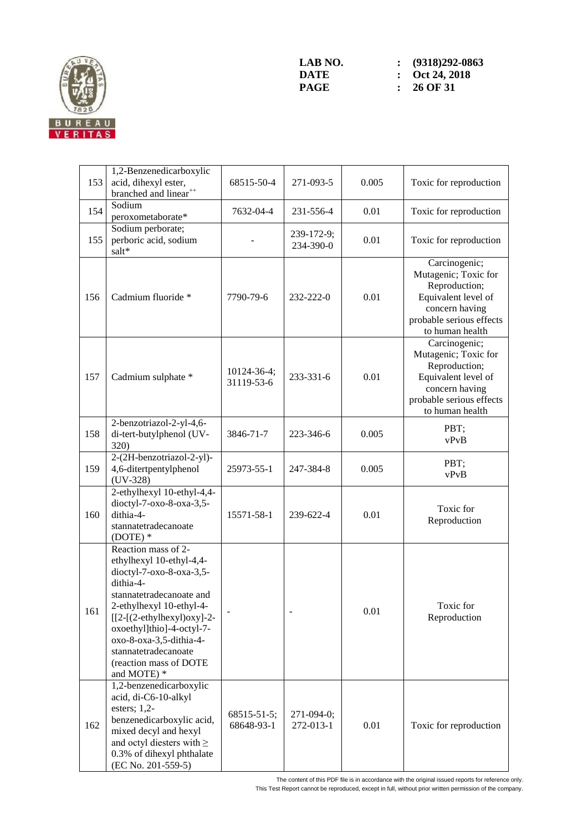

| 153 | 1,2-Benzenedicarboxylic<br>acid, dihexyl ester,<br>branched and linear <sup>++</sup>                                                                                                                                                                                                                     | 68515-50-4                | 271-093-5               | 0.005 | Toxic for reproduction                                                                                                                         |
|-----|----------------------------------------------------------------------------------------------------------------------------------------------------------------------------------------------------------------------------------------------------------------------------------------------------------|---------------------------|-------------------------|-------|------------------------------------------------------------------------------------------------------------------------------------------------|
| 154 | Sodium<br>peroxometaborate*                                                                                                                                                                                                                                                                              | 7632-04-4                 | 231-556-4               | 0.01  | Toxic for reproduction                                                                                                                         |
| 155 | Sodium perborate;<br>perboric acid, sodium<br>salt*                                                                                                                                                                                                                                                      |                           | 239-172-9;<br>234-390-0 | 0.01  | Toxic for reproduction                                                                                                                         |
| 156 | Cadmium fluoride *                                                                                                                                                                                                                                                                                       | 7790-79-6                 | $232 - 222 - 0$         | 0.01  | Carcinogenic;<br>Mutagenic; Toxic for<br>Reproduction;<br>Equivalent level of<br>concern having<br>probable serious effects<br>to human health |
| 157 | Cadmium sulphate *                                                                                                                                                                                                                                                                                       | 10124-36-4;<br>31119-53-6 | 233-331-6               | 0.01  | Carcinogenic;<br>Mutagenic; Toxic for<br>Reproduction;<br>Equivalent level of<br>concern having<br>probable serious effects<br>to human health |
| 158 | 2-benzotriazol-2-yl-4,6-<br>di-tert-butylphenol (UV-<br>320)                                                                                                                                                                                                                                             | 3846-71-7                 | 223-346-6               | 0.005 | PBT;<br>vPvB                                                                                                                                   |
| 159 | 2-(2H-benzotriazol-2-yl)-<br>4,6-ditertpentylphenol<br>$(UV-328)$                                                                                                                                                                                                                                        | 25973-55-1                | 247-384-8               | 0.005 | PBT;<br>vPvB                                                                                                                                   |
| 160 | 2-ethylhexyl 10-ethyl-4,4-<br>dioctyl-7-oxo-8-oxa-3,5-<br>dithia-4-<br>stannatetradecanoate<br>$(DOTE)*$                                                                                                                                                                                                 | 15571-58-1                | 239-622-4               | 0.01  | Toxic for<br>Reproduction                                                                                                                      |
| 161 | Reaction mass of 2-<br>ethylhexyl 10-ethyl-4,4-<br>dioctyl-7-oxo-8-oxa-3,5-<br>dithia-4-<br>stannatetradecanoate and<br>2-ethylhexyl 10-ethyl-4-<br>$[[2-(2-ethylhexyl)oxy]-2-$<br>oxoethyl]thio]-4-octyl-7-<br>oxo-8-oxa-3,5-dithia-4-<br>stannatetradecanoate<br>(reaction mass of DOTE<br>and MOTE) * |                           |                         | 0.01  | Toxic for<br>Reproduction                                                                                                                      |
| 162 | 1,2-benzenedicarboxylic<br>acid, di-C6-10-alkyl<br>esters; $1,2$ -<br>benzenedicarboxylic acid,<br>mixed decyl and hexyl<br>and octyl diesters with $\geq$<br>0.3% of dihexyl phthalate<br>(EC No. 201-559-5)                                                                                            | 68515-51-5;<br>68648-93-1 | 271-094-0;<br>272-013-1 | 0.01  | Toxic for reproduction                                                                                                                         |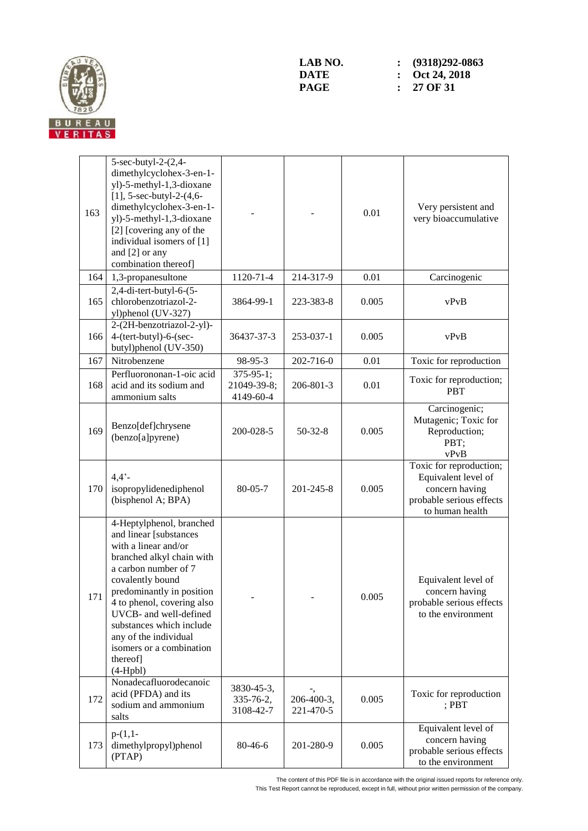

| 163 | 5-sec-butyl-2-(2,4-<br>dimethylcyclohex-3-en-1-<br>yl)-5-methyl-1,3-dioxane<br>[1], $5$ -sec-butyl-2- $(4, 6$ -<br>dimethylcyclohex-3-en-1-<br>yl)-5-methyl-1,3-dioxane<br>[2] [covering any of the<br>individual isomers of [1]<br>and [2] or any<br>combination thereof]                                                                          |                                              |                         | 0.01  | Very persistent and<br>very bioaccumulative                                                                     |
|-----|-----------------------------------------------------------------------------------------------------------------------------------------------------------------------------------------------------------------------------------------------------------------------------------------------------------------------------------------------------|----------------------------------------------|-------------------------|-------|-----------------------------------------------------------------------------------------------------------------|
| 164 | 1,3-propanesultone                                                                                                                                                                                                                                                                                                                                  | 1120-71-4                                    | 214-317-9               | 0.01  | Carcinogenic                                                                                                    |
| 165 | $2,4$ -di-tert-butyl-6-(5-<br>chlorobenzotriazol-2-<br>yl)phenol (UV-327)                                                                                                                                                                                                                                                                           | 3864-99-1                                    | 223-383-8               | 0.005 | vPvB                                                                                                            |
| 166 | 2-(2H-benzotriazol-2-yl)-<br>4-(tert-butyl)-6-(sec-<br>butyl)phenol (UV-350)                                                                                                                                                                                                                                                                        | 36437-37-3                                   | 253-037-1               | 0.005 | vPvB                                                                                                            |
| 167 | Nitrobenzene                                                                                                                                                                                                                                                                                                                                        | 98-95-3                                      | 202-716-0               | 0.01  | Toxic for reproduction                                                                                          |
| 168 | Perfluorononan-1-oic acid<br>acid and its sodium and<br>ammonium salts                                                                                                                                                                                                                                                                              | $375 - 95 - 1$ ;<br>21049-39-8;<br>4149-60-4 | 206-801-3               | 0.01  | Toxic for reproduction;<br><b>PBT</b>                                                                           |
| 169 | Benzo[def]chrysene<br>(benzo[a]pyrene)                                                                                                                                                                                                                                                                                                              | 200-028-5                                    | $50-32-8$               | 0.005 | Carcinogenic;<br>Mutagenic; Toxic for<br>Reproduction;<br>PBT;<br>vPvB                                          |
| 170 | 4.4'<br>isopropylidenediphenol<br>(bisphenol A; BPA)                                                                                                                                                                                                                                                                                                | $80 - 05 - 7$                                | 201-245-8               | 0.005 | Toxic for reproduction;<br>Equivalent level of<br>concern having<br>probable serious effects<br>to human health |
| 171 | 4-Heptylphenol, branched<br>and linear [substances<br>with a linear and/or<br>branched alkyl chain with<br>a carbon number of 7<br>covalently bound<br>predominantly in position<br>4 to phenol, covering also<br>UVCB- and well-defined<br>substances which include<br>any of the individual<br>isomers or a combination<br>thereof]<br>$(4-Hpbl)$ |                                              |                         | 0.005 | Equivalent level of<br>concern having<br>probable serious effects<br>to the environment                         |
| 172 | Nonadecafluorodecanoic<br>acid (PFDA) and its<br>sodium and ammonium<br>salts                                                                                                                                                                                                                                                                       | 3830-45-3,<br>335-76-2,<br>3108-42-7         | 206-400-3,<br>221-470-5 | 0.005 | Toxic for reproduction<br>$;$ PBT                                                                               |
| 173 | $p-(1,1-$<br>dimethylpropyl)phenol<br>(PTAP)                                                                                                                                                                                                                                                                                                        | 80-46-6                                      | 201-280-9               | 0.005 | Equivalent level of<br>concern having<br>probable serious effects<br>to the environment                         |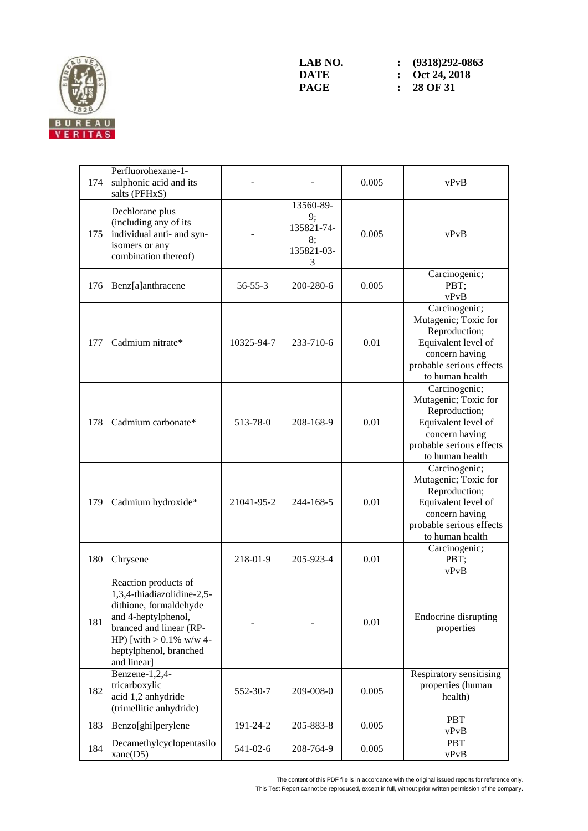

| 174 | Perfluorohexane-1-<br>sulphonic acid and its<br>salts (PFHxS)                                                                                                                                         |               |                                                        | 0.005 | vPvB                                                                                                                                           |
|-----|-------------------------------------------------------------------------------------------------------------------------------------------------------------------------------------------------------|---------------|--------------------------------------------------------|-------|------------------------------------------------------------------------------------------------------------------------------------------------|
| 175 | Dechlorane plus<br>(including any of its<br>individual anti- and syn-<br>isomers or any<br>combination thereof)                                                                                       |               | 13560-89-<br>9;<br>135821-74-<br>8;<br>135821-03-<br>3 | 0.005 | vPvB                                                                                                                                           |
| 176 | Benz[a]anthracene                                                                                                                                                                                     | $56 - 55 - 3$ | 200-280-6                                              | 0.005 | Carcinogenic;<br>PBT;<br>vPvB                                                                                                                  |
| 177 | Cadmium nitrate*                                                                                                                                                                                      | 10325-94-7    | 233-710-6                                              | 0.01  | Carcinogenic;<br>Mutagenic; Toxic for<br>Reproduction;<br>Equivalent level of<br>concern having<br>probable serious effects<br>to human health |
| 178 | Cadmium carbonate*                                                                                                                                                                                    | 513-78-0      | 208-168-9                                              | 0.01  | Carcinogenic;<br>Mutagenic; Toxic for<br>Reproduction;<br>Equivalent level of<br>concern having<br>probable serious effects<br>to human health |
| 179 | Cadmium hydroxide*                                                                                                                                                                                    | 21041-95-2    | 244-168-5                                              | 0.01  | Carcinogenic;<br>Mutagenic; Toxic for<br>Reproduction;<br>Equivalent level of<br>concern having<br>probable serious effects<br>to human health |
| 180 | Chrysene                                                                                                                                                                                              | 218-01-9      | 205-923-4                                              | 0.01  | Carcinogenic;<br>PBT;<br>vPvB                                                                                                                  |
| 181 | Reaction products of<br>1,3,4-thiadiazolidine-2,5-<br>dithione, formaldehyde<br>and 4-heptylphenol,<br>branced and linear (RP-<br>HP) [with $> 0.1\%$ w/w 4-<br>heptylphenol, branched<br>and linear] |               |                                                        | 0.01  | Endocrine disrupting<br>properties                                                                                                             |
| 182 | Benzene-1,2,4-<br>tricarboxylic<br>acid 1,2 anhydride<br>(trimellitic anhydride)                                                                                                                      | 552-30-7      | 209-008-0                                              | 0.005 | Respiratory sensitising<br>properties (human<br>health)                                                                                        |
| 183 | Benzo[ghi]perylene                                                                                                                                                                                    | 191-24-2      | 205-883-8                                              | 0.005 | <b>PBT</b><br>vPvB                                                                                                                             |
| 184 | Decamethylcyclopentasilo<br>xane(D5)                                                                                                                                                                  | 541-02-6      | 208-764-9                                              | 0.005 | <b>PBT</b><br>vPvB                                                                                                                             |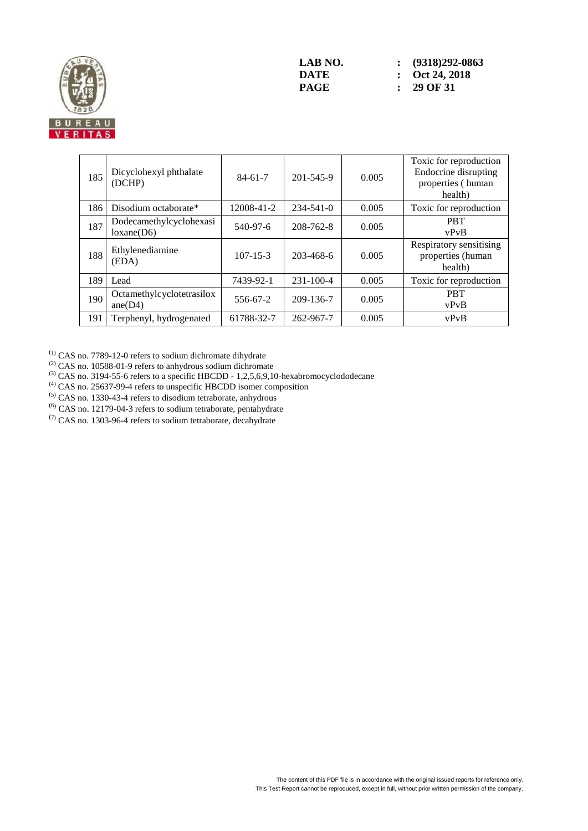

| 185 | Dicyclohexyl phthalate<br>(DCHP)      | $84-61-7$      | 201-545-9       | 0.005 | Toxic for reproduction<br>Endocrine disrupting<br>properties (human<br>health) |
|-----|---------------------------------------|----------------|-----------------|-------|--------------------------------------------------------------------------------|
| 186 | Disodium octaborate*                  | 12008-41-2     | $234 - 541 - 0$ | 0.005 | Toxic for reproduction                                                         |
| 187 | Dodecamethylcyclohexasi<br>loxane(D6) | 540-97-6       | $208 - 762 - 8$ | 0.005 | <b>PRT</b><br>vPvB                                                             |
| 188 | Ethylenediamine<br>(EDA)              | $107 - 15 - 3$ | 203-468-6       | 0.005 | Respiratory sensitising<br>properties (human<br>health)                        |
| 189 | Lead                                  | 7439-92-1      | $231 - 100 - 4$ | 0.005 | Toxic for reproduction                                                         |
| 190 | Octamethylcyclotetrasilox<br>ane(D4)  | 556-67-2       | 209-136-7       | 0.005 | <b>PBT</b><br>vPvB                                                             |
| 191 | Terphenyl, hydrogenated               | 61788-32-7     | 262-967-7       | 0.005 | vPvB                                                                           |

 $^{(1)}$  CAS no. 7789-12-0 refers to sodium dichromate dihydrate

 $^{(2)}$  CAS no. 10588-01-9 refers to anhydrous sodium dichromate

 $^{(3)}$  CAS no. 3194-55-6 refers to a specific HBCDD - 1,2,5,6,9,10-hexabromocyclododecane

 $<sup>(4)</sup>$  CAS no. 25637-99-4 refers to unspecific HBCDD isomer composition</sup>

(5) CAS no. 1330-43-4 refers to disodium tetraborate, anhydrous

(6) CAS no. 12179-04-3 refers to sodium tetraborate, pentahydrate

 $(7)$  CAS no. 1303-96-4 refers to sodium tetraborate, decahydrate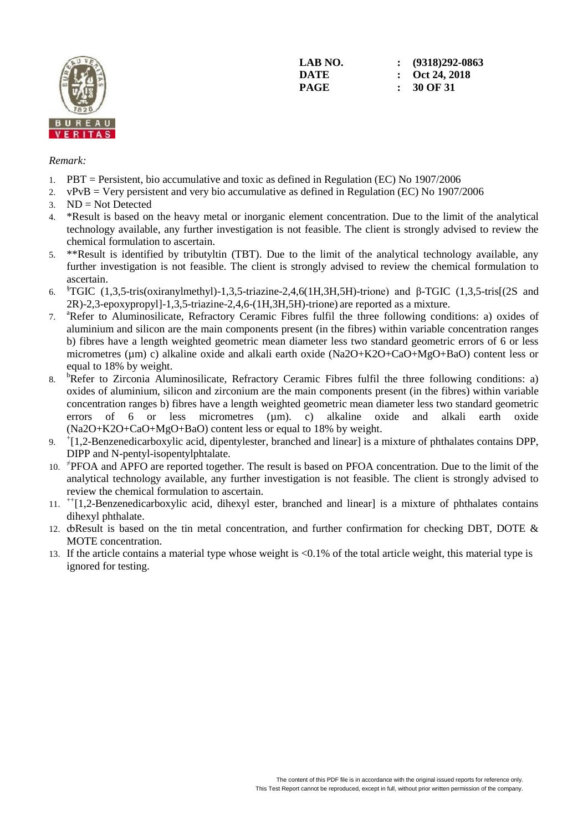

**LAB NO. : (9318)292-0863 DATE : Oct 24, 2018 PAGE : 30 OF 31**

#### *Remark:*

- 1. PBT = Persistent, bio accumulative and toxic as defined in Regulation (EC) No 1907/2006
- 2. vPvB = Very persistent and very bio accumulative as defined in Regulation (EC) No 1907/2006
- 3. ND = Not Detected
- 4. \*Result is based on the heavy metal or inorganic element concentration. Due to the limit of the analytical technology available, any further investigation is not feasible. The client is strongly advised to review the chemical formulation to ascertain.
- 5. \*\*Result is identified by tributyltin (TBT). Due to the limit of the analytical technology available, any further investigation is not feasible. The client is strongly advised to review the chemical formulation to ascertain.
- 6. §TGIC (1,3,5-tris(oxiranylmethyl)-1,3,5-triazine-2,4,6(1H,3H,5H)-trione) and β-TGIC (1,3,5-tris[(2S and 2R)-2,3-epoxypropyl]-1,3,5-triazine-2,4,6-(1H,3H,5H)-trione) are reported as a mixture.
- 7. <sup>a</sup>Refer to Aluminosilicate, Refractory Ceramic Fibres fulfil the three following conditions: a) oxides of aluminium and silicon are the main components present (in the fibres) within variable concentration ranges b) fibres have a length weighted geometric mean diameter less two standard geometric errors of 6 or less micrometres (µm) c) alkaline oxide and alkali earth oxide (Na2O+K2O+CaO+MgO+BaO) content less or equal to 18% by weight.
- 8. <sup>b</sup>Refer to Zirconia Aluminosilicate, Refractory Ceramic Fibres fulfil the three following conditions: a) oxides of aluminium, silicon and zirconium are the main components present (in the fibres) within variable concentration ranges b) fibres have a length weighted geometric mean diameter less two standard geometric errors of 6 or less micrometres  $(\mu m)$ . c) alkaline oxide and alkali earth oxide (Na2O+K2O+CaO+MgO+BaO) content less or equal to 18% by weight.
- 9. <sup>+</sup> [1,2-Benzenedicarboxylic acid, dipentylester, branched and linear] is a mixture of phthalates contains DPP, DIPP and N-pentyl-isopentylphtalate.
- 10. <sup>#</sup>PFOA and APFO are reported together. The result is based on PFOA concentration. Due to the limit of the analytical technology available, any further investigation is not feasible. The client is strongly advised to review the chemical formulation to ascertain.
- 11. ++[1,2-Benzenedicarboxylic acid, dihexyl ester, branched and linear] is a mixture of phthalates contains dihexyl phthalate.
- 12.  $\alpha$ Result is based on the tin metal concentration, and further confirmation for checking DBT, DOTE  $\alpha$ MOTE concentration.
- 13. If the article contains a material type whose weight is <0.1% of the total article weight, this material type is ignored for testing.